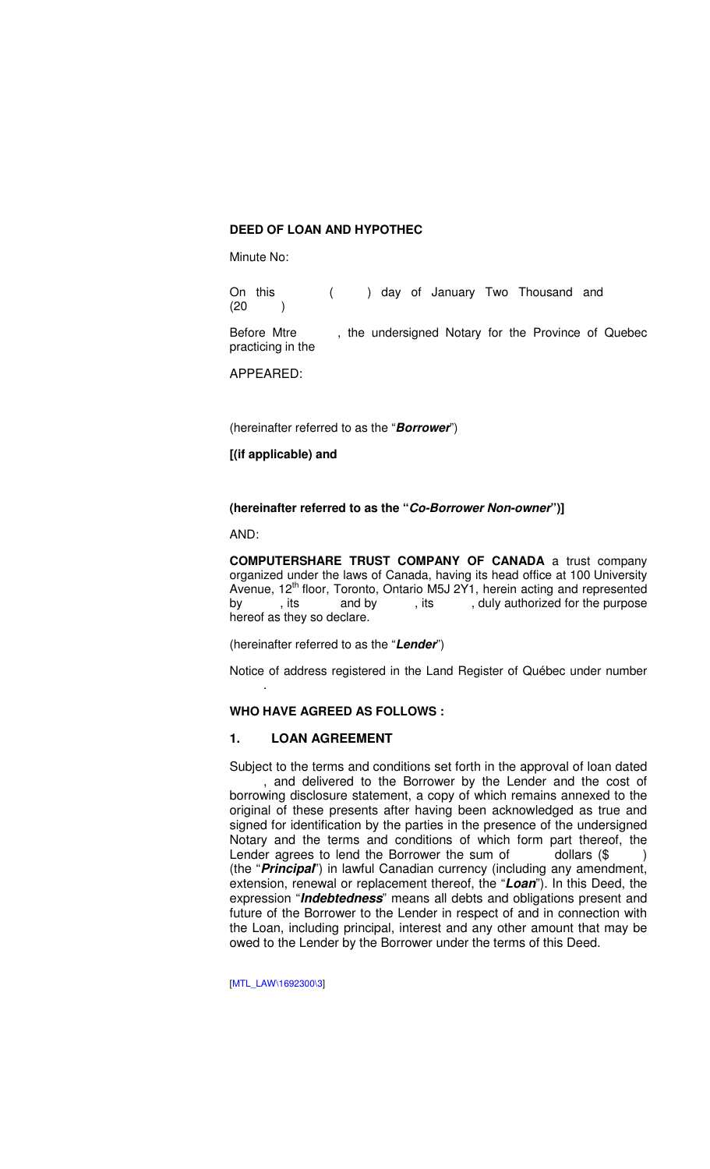### **DEED OF LOAN AND HYPOTHEC**

Minute No:

On this ( ) day of January Two Thousand and  $(20)$ 

Before Mtre , the undersigned Notary for the Province of Quebec practicing in the

APPEARED:

(hereinafter referred to as the "**Borrower**")

#### **[(if applicable) and**

# **(hereinafter referred to as the "Co-Borrower Non-owner")]**

AND:

**COMPUTERSHARE TRUST COMPANY OF CANADA** a trust company organized under the laws of Canada, having its head office at 100 University Avenue, 12<sup>th</sup> floor, Toronto, Ontario M5J 2Y1, herein acting and represented<br>by , its and by , its , duly authorized for the purpose , its and by , its , duly authorized for the purpose hereof as they so declare.

(hereinafter referred to as the "**Lender**")

Notice of address registered in the Land Register of Québec under number .

# **WHO HAVE AGREED AS FOLLOWS :**

#### **1. LOAN AGREEMENT**

Subject to the terms and conditions set forth in the approval of loan dated , and delivered to the Borrower by the Lender and the cost of borrowing disclosure statement, a copy of which remains annexed to the original of these presents after having been acknowledged as true and signed for identification by the parties in the presence of the undersigned Notary and the terms and conditions of which form part thereof, the Lender agrees to lend the Borrower the sum of  $\qquad$  dollars (\$ (the "**Principal**") in lawful Canadian currency (including any amendment, extension, renewal or replacement thereof, the "**Loan**"). In this Deed, the expression "**Indebtedness**" means all debts and obligations present and future of the Borrower to the Lender in respect of and in connection with the Loan, including principal, interest and any other amount that may be owed to the Lender by the Borrower under the terms of this Deed.

[MTL\_LAW\1692300\3]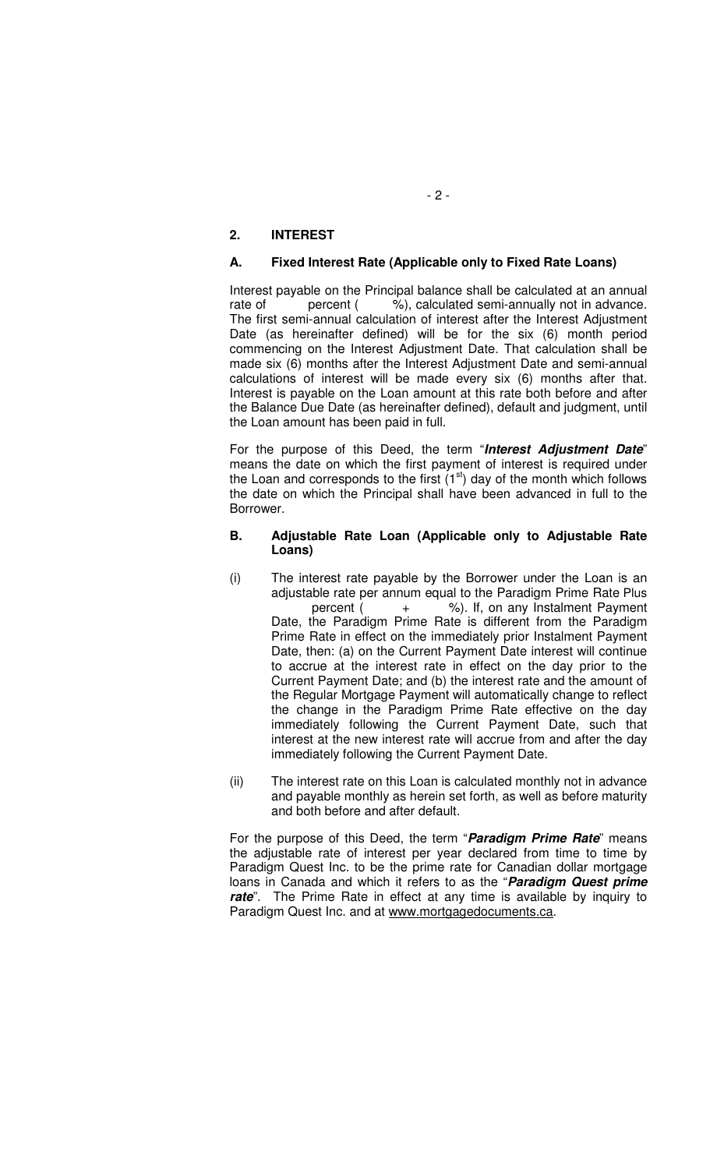# **2. INTEREST**

### **A. Fixed Interest Rate (Applicable only to Fixed Rate Loans)**

Interest payable on the Principal balance shall be calculated at an annual rate of percent (  $\%$ ), calculated semi-annually not in advance. The first semi-annual calculation of interest after the Interest Adjustment Date (as hereinafter defined) will be for the six (6) month period commencing on the Interest Adjustment Date. That calculation shall be made six (6) months after the Interest Adjustment Date and semi-annual calculations of interest will be made every six (6) months after that. Interest is payable on the Loan amount at this rate both before and after the Balance Due Date (as hereinafter defined), default and judgment, until the Loan amount has been paid in full.

For the purpose of this Deed, the term "**Interest Adjustment Date**" means the date on which the first payment of interest is required under the Loan and corresponds to the first  $(1<sup>st</sup>)$  day of the month which follows the date on which the Principal shall have been advanced in full to the Borrower.

#### **B. Adjustable Rate Loan (Applicable only to Adjustable Rate Loans)**

- (i) The interest rate payable by the Borrower under the Loan is an adjustable rate per annum equal to the Paradigm Prime Rate Plus percent ( + %). If, on any Instalment Payment Date, the Paradigm Prime Rate is different from the Paradigm Prime Rate in effect on the immediately prior Instalment Payment Date, then: (a) on the Current Payment Date interest will continue to accrue at the interest rate in effect on the day prior to the Current Payment Date; and (b) the interest rate and the amount of the Regular Mortgage Payment will automatically change to reflect the change in the Paradigm Prime Rate effective on the day immediately following the Current Payment Date, such that interest at the new interest rate will accrue from and after the day immediately following the Current Payment Date.
- (ii) The interest rate on this Loan is calculated monthly not in advance and payable monthly as herein set forth, as well as before maturity and both before and after default.

For the purpose of this Deed, the term "**Paradigm Prime Rate**" means the adjustable rate of interest per year declared from time to time by Paradigm Quest Inc. to be the prime rate for Canadian dollar mortgage loans in Canada and which it refers to as the "**Paradigm Quest prime**  rate". The Prime Rate in effect at any time is available by inquiry to Paradigm Quest Inc. and at www.mortgagedocuments.ca.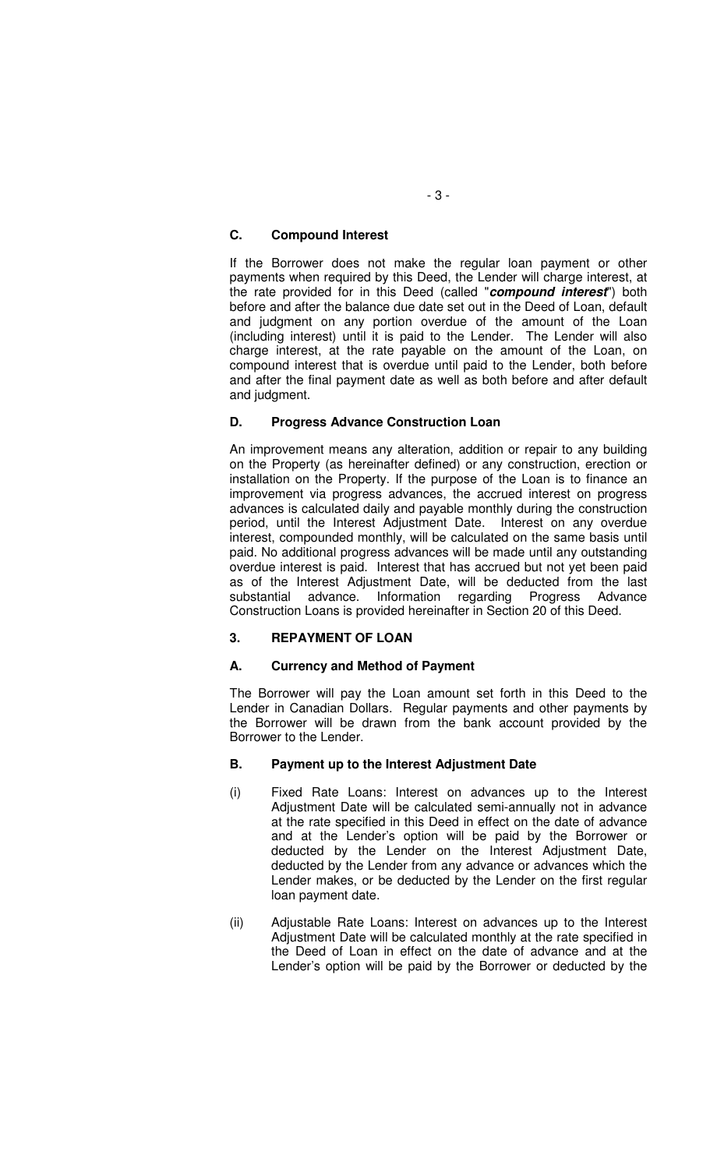# **C. Compound Interest**

If the Borrower does not make the regular loan payment or other payments when required by this Deed, the Lender will charge interest, at the rate provided for in this Deed (called "**compound interest**") both before and after the balance due date set out in the Deed of Loan, default and judgment on any portion overdue of the amount of the Loan (including interest) until it is paid to the Lender. The Lender will also charge interest, at the rate payable on the amount of the Loan, on compound interest that is overdue until paid to the Lender, both before and after the final payment date as well as both before and after default and judgment.

# **D. Progress Advance Construction Loan**

An improvement means any alteration, addition or repair to any building on the Property (as hereinafter defined) or any construction, erection or installation on the Property. If the purpose of the Loan is to finance an improvement via progress advances, the accrued interest on progress advances is calculated daily and payable monthly during the construction period, until the Interest Adjustment Date. Interest on any overdue interest, compounded monthly, will be calculated on the same basis until paid. No additional progress advances will be made until any outstanding overdue interest is paid. Interest that has accrued but not yet been paid as of the Interest Adjustment Date, will be deducted from the last substantial advance. Information regarding Progress Advance Construction Loans is provided hereinafter in Section 20 of this Deed.

# **3. REPAYMENT OF LOAN**

# **A. Currency and Method of Payment**

The Borrower will pay the Loan amount set forth in this Deed to the Lender in Canadian Dollars. Regular payments and other payments by the Borrower will be drawn from the bank account provided by the Borrower to the Lender.

# **B. Payment up to the Interest Adjustment Date**

- (i) Fixed Rate Loans: Interest on advances up to the Interest Adjustment Date will be calculated semi-annually not in advance at the rate specified in this Deed in effect on the date of advance and at the Lender's option will be paid by the Borrower or deducted by the Lender on the Interest Adjustment Date, deducted by the Lender from any advance or advances which the Lender makes, or be deducted by the Lender on the first regular loan payment date.
- (ii) Adjustable Rate Loans: Interest on advances up to the Interest Adjustment Date will be calculated monthly at the rate specified in the Deed of Loan in effect on the date of advance and at the Lender's option will be paid by the Borrower or deducted by the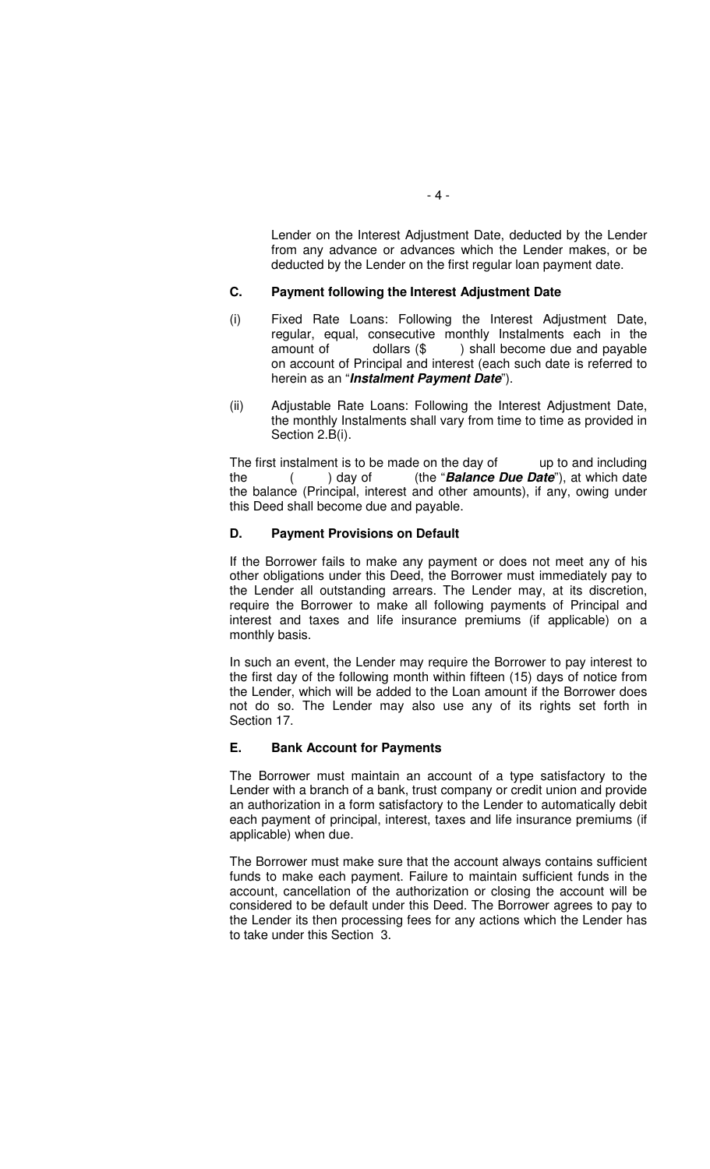Lender on the Interest Adjustment Date, deducted by the Lender from any advance or advances which the Lender makes, or be deducted by the Lender on the first regular loan payment date.

### **C. Payment following the Interest Adjustment Date**

- (i) Fixed Rate Loans: Following the Interest Adjustment Date, regular, equal, consecutive monthly Instalments each in the amount of  $\qquad$  dollars  $(\$ \)$  shall become due and payable on account of Principal and interest (each such date is referred to herein as an "**Instalment Payment Date**").
- (ii) Adjustable Rate Loans: Following the Interest Adjustment Date, the monthly Instalments shall vary from time to time as provided in Section 2.B(i).

The first instalment is to be made on the day of up to and including the ( ) day of (the "**Balance Due Date**"), at which date the balance (Principal, interest and other amounts), if any, owing under this Deed shall become due and payable.

## **D. Payment Provisions on Default**

If the Borrower fails to make any payment or does not meet any of his other obligations under this Deed, the Borrower must immediately pay to the Lender all outstanding arrears. The Lender may, at its discretion, require the Borrower to make all following payments of Principal and interest and taxes and life insurance premiums (if applicable) on a monthly basis.

In such an event, the Lender may require the Borrower to pay interest to the first day of the following month within fifteen (15) days of notice from the Lender, which will be added to the Loan amount if the Borrower does not do so. The Lender may also use any of its rights set forth in Section 17.

#### **E. Bank Account for Payments**

The Borrower must maintain an account of a type satisfactory to the Lender with a branch of a bank, trust company or credit union and provide an authorization in a form satisfactory to the Lender to automatically debit each payment of principal, interest, taxes and life insurance premiums (if applicable) when due.

The Borrower must make sure that the account always contains sufficient funds to make each payment. Failure to maintain sufficient funds in the account, cancellation of the authorization or closing the account will be considered to be default under this Deed. The Borrower agrees to pay to the Lender its then processing fees for any actions which the Lender has to take under this Section 3.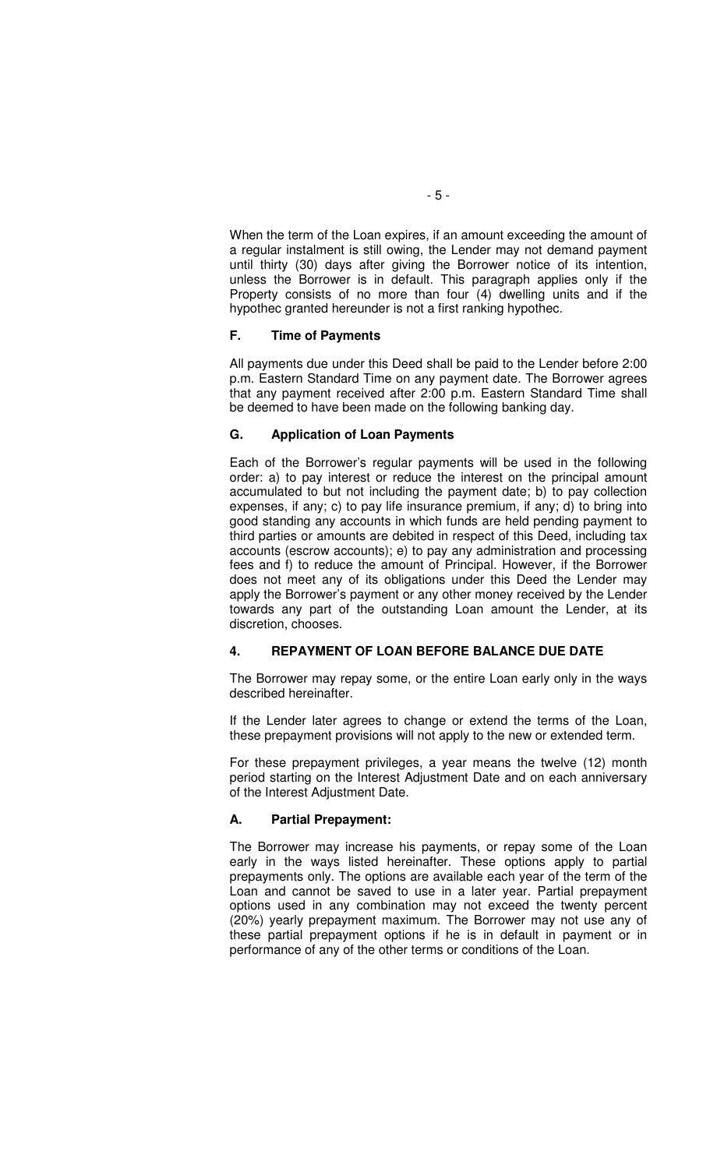When the term of the Loan expires, if an amount exceeding the amount of a regular instalment is still owing, the Lender may not demand payment until thirty (30) days after giving the Borrower notice of its intention, unless the Borrower is in default. This paragraph applies only if the Property consists of no more than four (4) dwelling units and if the hypothec granted hereunder is not a first ranking hypothec.

## **F. Time of Payments**

All payments due under this Deed shall be paid to the Lender before 2:00 p.m. Eastern Standard Time on any payment date. The Borrower agrees that any payment received after 2:00 p.m. Eastern Standard Time shall be deemed to have been made on the following banking day.

## **G. Application of Loan Payments**

Each of the Borrower's regular payments will be used in the following order: a) to pay interest or reduce the interest on the principal amount accumulated to but not including the payment date; b) to pay collection expenses, if any; c) to pay life insurance premium, if any; d) to bring into good standing any accounts in which funds are held pending payment to third parties or amounts are debited in respect of this Deed, including tax accounts (escrow accounts); e) to pay any administration and processing fees and f) to reduce the amount of Principal. However, if the Borrower does not meet any of its obligations under this Deed the Lender may apply the Borrower's payment or any other money received by the Lender towards any part of the outstanding Loan amount the Lender, at its discretion, chooses.

# **4. REPAYMENT OF LOAN BEFORE BALANCE DUE DATE**

The Borrower may repay some, or the entire Loan early only in the ways described hereinafter.

If the Lender later agrees to change or extend the terms of the Loan, these prepayment provisions will not apply to the new or extended term.

For these prepayment privileges, a year means the twelve (12) month period starting on the Interest Adjustment Date and on each anniversary of the Interest Adjustment Date.

#### **A. Partial Prepayment:**

The Borrower may increase his payments, or repay some of the Loan early in the ways listed hereinafter. These options apply to partial prepayments only. The options are available each year of the term of the Loan and cannot be saved to use in a later year. Partial prepayment options used in any combination may not exceed the twenty percent (20%) yearly prepayment maximum. The Borrower may not use any of these partial prepayment options if he is in default in payment or in performance of any of the other terms or conditions of the Loan.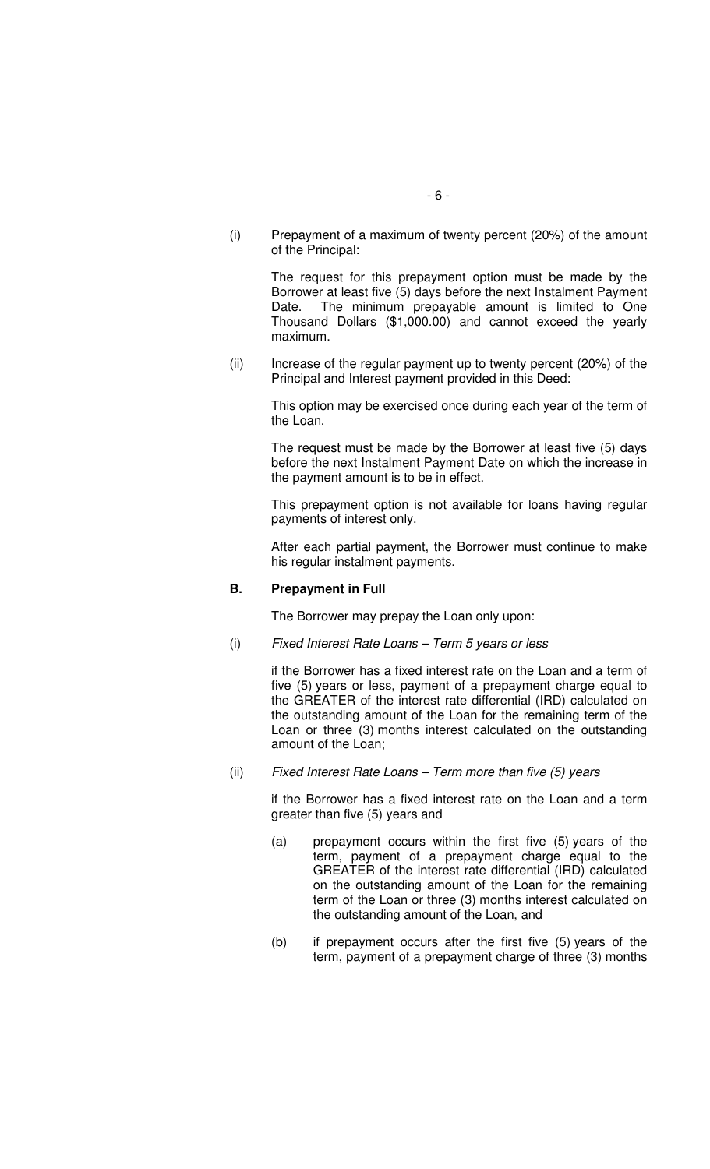(i) Prepayment of a maximum of twenty percent (20%) of the amount of the Principal:

> The request for this prepayment option must be made by the Borrower at least five (5) days before the next Instalment Payment Date. The minimum prepayable amount is limited to One Thousand Dollars (\$1,000.00) and cannot exceed the yearly maximum.

(ii) Increase of the regular payment up to twenty percent (20%) of the Principal and Interest payment provided in this Deed:

This option may be exercised once during each year of the term of the Loan.

The request must be made by the Borrower at least five (5) days before the next Instalment Payment Date on which the increase in the payment amount is to be in effect.

This prepayment option is not available for loans having regular payments of interest only.

After each partial payment, the Borrower must continue to make his regular instalment payments.

#### **B. Prepayment in Full**

The Borrower may prepay the Loan only upon:

(i) Fixed Interest Rate Loans – Term 5 years or less

if the Borrower has a fixed interest rate on the Loan and a term of five (5) years or less, payment of a prepayment charge equal to the GREATER of the interest rate differential (IRD) calculated on the outstanding amount of the Loan for the remaining term of the Loan or three (3) months interest calculated on the outstanding amount of the Loan;

(ii) Fixed Interest Rate Loans – Term more than five (5) years

if the Borrower has a fixed interest rate on the Loan and a term greater than five (5) years and

- (a) prepayment occurs within the first five (5) years of the term, payment of a prepayment charge equal to the GREATER of the interest rate differential (IRD) calculated on the outstanding amount of the Loan for the remaining term of the Loan or three (3) months interest calculated on the outstanding amount of the Loan, and
- (b) if prepayment occurs after the first five (5) years of the term, payment of a prepayment charge of three (3) months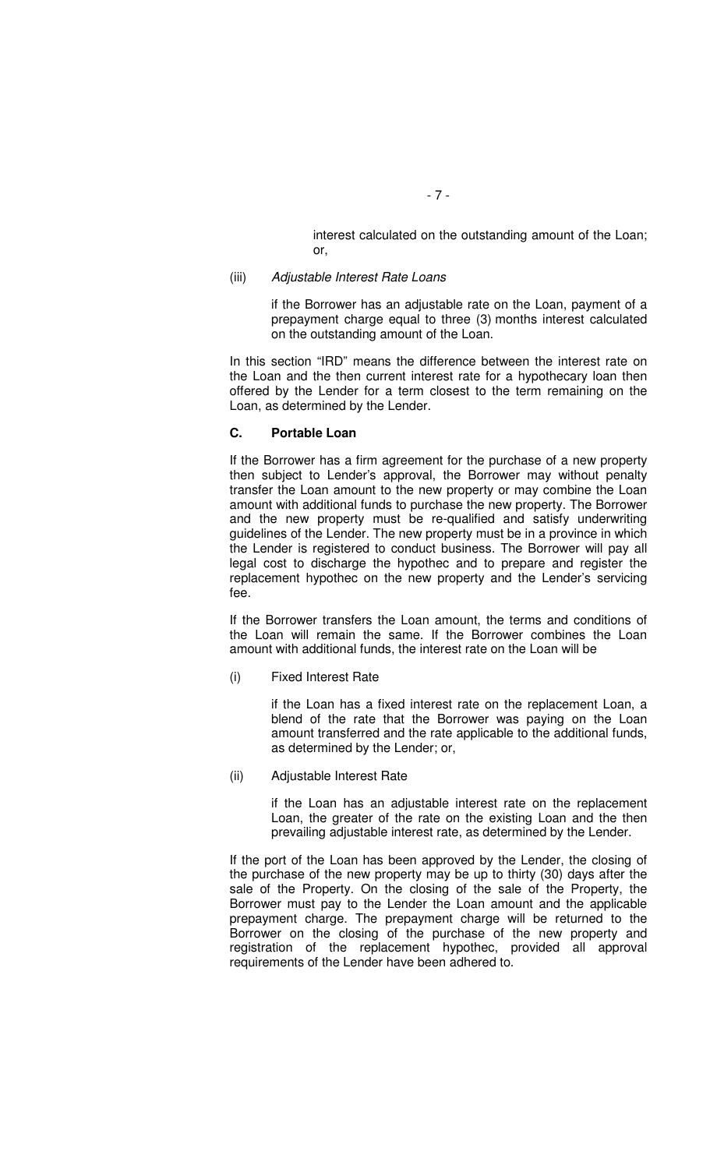interest calculated on the outstanding amount of the Loan; or,

### (iii) Adjustable Interest Rate Loans

if the Borrower has an adjustable rate on the Loan, payment of a prepayment charge equal to three (3) months interest calculated on the outstanding amount of the Loan.

In this section "IRD" means the difference between the interest rate on the Loan and the then current interest rate for a hypothecary loan then offered by the Lender for a term closest to the term remaining on the Loan, as determined by the Lender.

#### **C. Portable Loan**

If the Borrower has a firm agreement for the purchase of a new property then subject to Lender's approval, the Borrower may without penalty transfer the Loan amount to the new property or may combine the Loan amount with additional funds to purchase the new property. The Borrower and the new property must be re-qualified and satisfy underwriting guidelines of the Lender. The new property must be in a province in which the Lender is registered to conduct business. The Borrower will pay all legal cost to discharge the hypothec and to prepare and register the replacement hypothec on the new property and the Lender's servicing fee.

If the Borrower transfers the Loan amount, the terms and conditions of the Loan will remain the same. If the Borrower combines the Loan amount with additional funds, the interest rate on the Loan will be

(i) Fixed Interest Rate

if the Loan has a fixed interest rate on the replacement Loan, a blend of the rate that the Borrower was paying on the Loan amount transferred and the rate applicable to the additional funds, as determined by the Lender; or,

#### (ii) Adjustable Interest Rate

if the Loan has an adjustable interest rate on the replacement Loan, the greater of the rate on the existing Loan and the then prevailing adjustable interest rate, as determined by the Lender.

If the port of the Loan has been approved by the Lender, the closing of the purchase of the new property may be up to thirty (30) days after the sale of the Property. On the closing of the sale of the Property, the Borrower must pay to the Lender the Loan amount and the applicable prepayment charge. The prepayment charge will be returned to the Borrower on the closing of the purchase of the new property and registration of the replacement hypothec, provided all approval requirements of the Lender have been adhered to.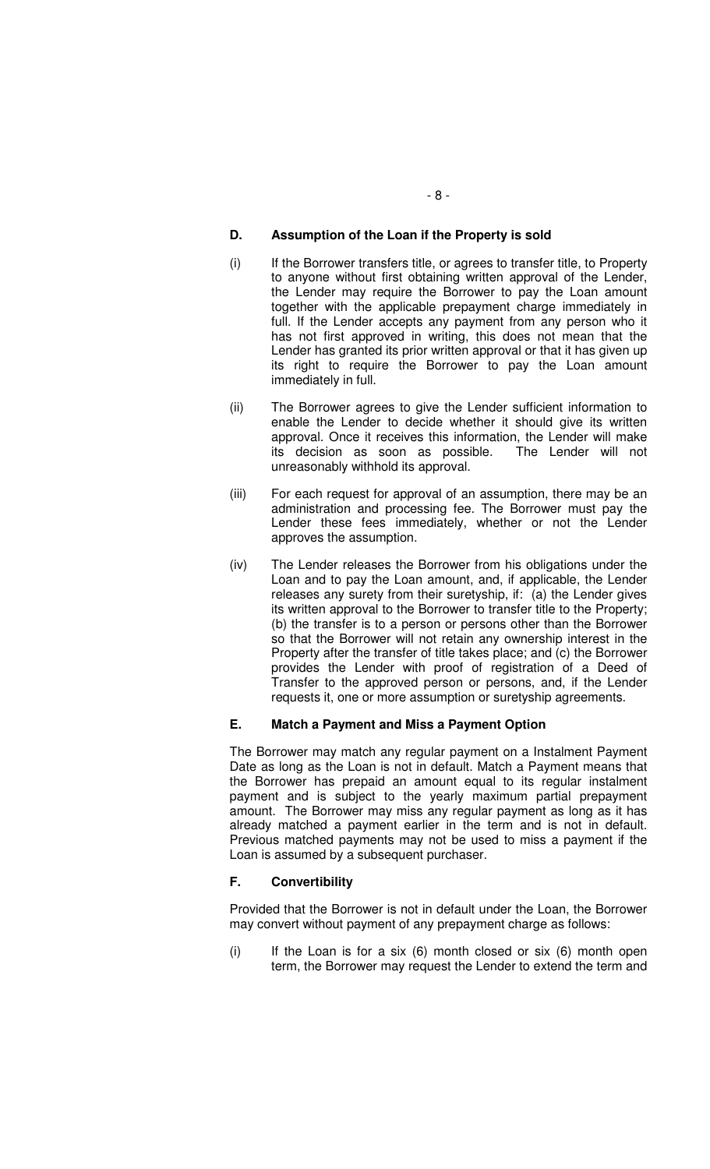# **D. Assumption of the Loan if the Property is sold**

- (i) If the Borrower transfers title, or agrees to transfer title, to Property to anyone without first obtaining written approval of the Lender, the Lender may require the Borrower to pay the Loan amount together with the applicable prepayment charge immediately in full. If the Lender accepts any payment from any person who it has not first approved in writing, this does not mean that the Lender has granted its prior written approval or that it has given up its right to require the Borrower to pay the Loan amount immediately in full.
- (ii) The Borrower agrees to give the Lender sufficient information to enable the Lender to decide whether it should give its written approval. Once it receives this information, the Lender will make its decision as soon as possible. The Lender will not unreasonably withhold its approval.
- (iii) For each request for approval of an assumption, there may be an administration and processing fee. The Borrower must pay the Lender these fees immediately, whether or not the Lender approves the assumption.
- (iv) The Lender releases the Borrower from his obligations under the Loan and to pay the Loan amount, and, if applicable, the Lender releases any surety from their suretyship, if: (a) the Lender gives its written approval to the Borrower to transfer title to the Property; (b) the transfer is to a person or persons other than the Borrower so that the Borrower will not retain any ownership interest in the Property after the transfer of title takes place; and (c) the Borrower provides the Lender with proof of registration of a Deed of Transfer to the approved person or persons, and, if the Lender requests it, one or more assumption or suretyship agreements.

# **E. Match a Payment and Miss a Payment Option**

The Borrower may match any regular payment on a Instalment Payment Date as long as the Loan is not in default. Match a Payment means that the Borrower has prepaid an amount equal to its regular instalment payment and is subject to the yearly maximum partial prepayment amount. The Borrower may miss any regular payment as long as it has already matched a payment earlier in the term and is not in default. Previous matched payments may not be used to miss a payment if the Loan is assumed by a subsequent purchaser.

#### **F. Convertibility**

Provided that the Borrower is not in default under the Loan, the Borrower may convert without payment of any prepayment charge as follows:

 $(i)$  If the Loan is for a six  $(6)$  month closed or six  $(6)$  month open term, the Borrower may request the Lender to extend the term and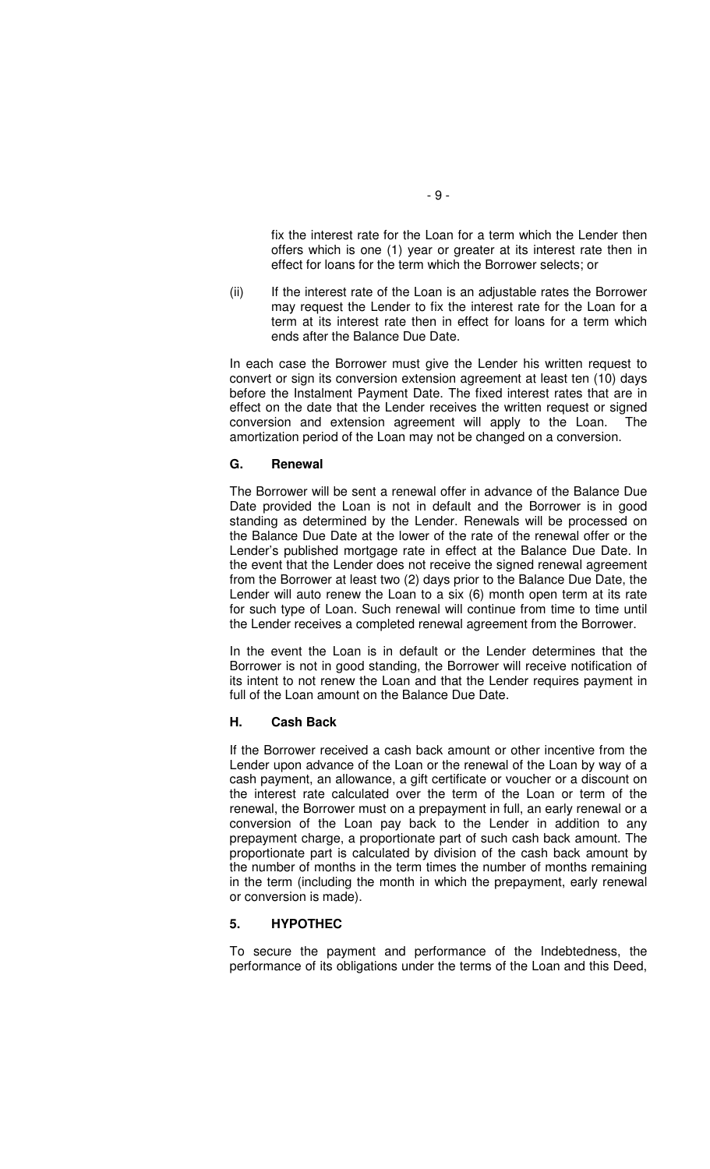fix the interest rate for the Loan for a term which the Lender then offers which is one (1) year or greater at its interest rate then in effect for loans for the term which the Borrower selects; or

(ii) If the interest rate of the Loan is an adjustable rates the Borrower may request the Lender to fix the interest rate for the Loan for a term at its interest rate then in effect for loans for a term which ends after the Balance Due Date.

In each case the Borrower must give the Lender his written request to convert or sign its conversion extension agreement at least ten (10) days before the Instalment Payment Date. The fixed interest rates that are in effect on the date that the Lender receives the written request or signed conversion and extension agreement will apply to the Loan. The amortization period of the Loan may not be changed on a conversion.

#### **G. Renewal**

The Borrower will be sent a renewal offer in advance of the Balance Due Date provided the Loan is not in default and the Borrower is in good standing as determined by the Lender. Renewals will be processed on the Balance Due Date at the lower of the rate of the renewal offer or the Lender's published mortgage rate in effect at the Balance Due Date. In the event that the Lender does not receive the signed renewal agreement from the Borrower at least two (2) days prior to the Balance Due Date, the Lender will auto renew the Loan to a six (6) month open term at its rate for such type of Loan. Such renewal will continue from time to time until the Lender receives a completed renewal agreement from the Borrower.

In the event the Loan is in default or the Lender determines that the Borrower is not in good standing, the Borrower will receive notification of its intent to not renew the Loan and that the Lender requires payment in full of the Loan amount on the Balance Due Date.

#### **H. Cash Back**

If the Borrower received a cash back amount or other incentive from the Lender upon advance of the Loan or the renewal of the Loan by way of a cash payment, an allowance, a gift certificate or voucher or a discount on the interest rate calculated over the term of the Loan or term of the renewal, the Borrower must on a prepayment in full, an early renewal or a conversion of the Loan pay back to the Lender in addition to any prepayment charge, a proportionate part of such cash back amount. The proportionate part is calculated by division of the cash back amount by the number of months in the term times the number of months remaining in the term (including the month in which the prepayment, early renewal or conversion is made).

#### **5. HYPOTHEC**

To secure the payment and performance of the Indebtedness, the performance of its obligations under the terms of the Loan and this Deed,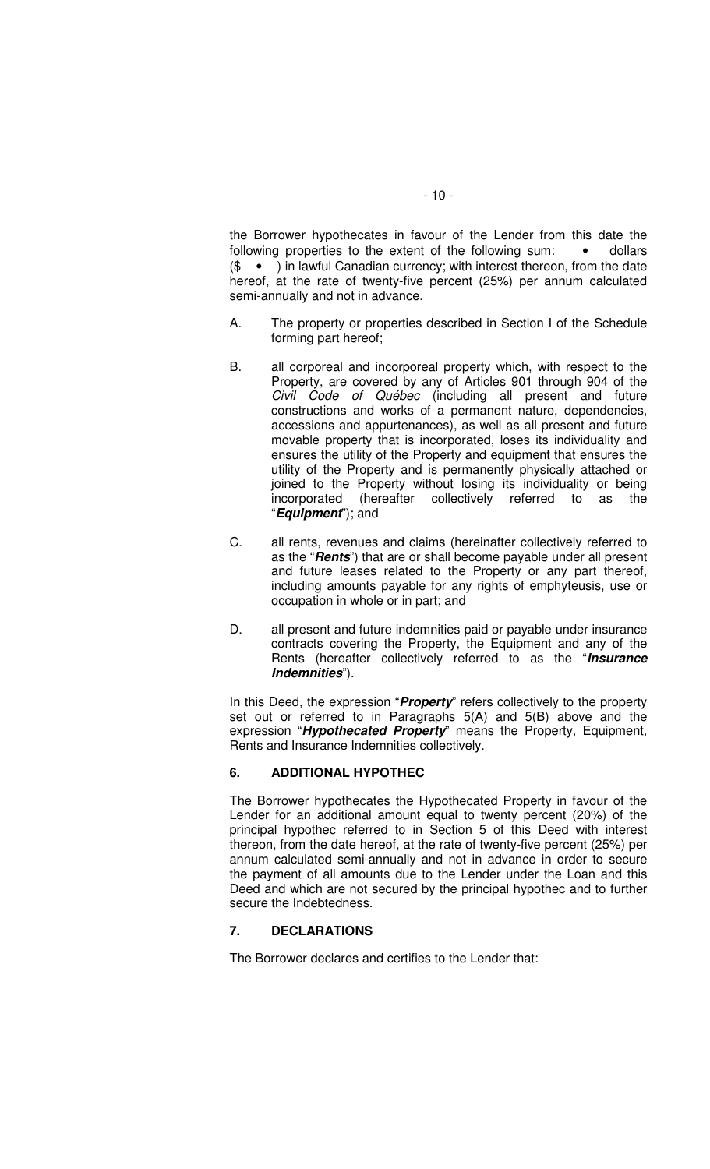the Borrower hypothecates in favour of the Lender from this date the following properties to the extent of the following sum: ... . . . dollars (\$" • ") in lawful Canadian currency; with interest thereon, from the date hereof, at the rate of twenty-five percent (25%) per annum calculated semi-annually and not in advance.

- A. The property or properties described in Section I of the Schedule forming part hereof;
- B. all corporeal and incorporeal property which, with respect to the Property, are covered by any of Articles 901 through 904 of the Civil Code of Québec (including all present and future constructions and works of a permanent nature, dependencies, accessions and appurtenances), as well as all present and future movable property that is incorporated, loses its individuality and ensures the utility of the Property and equipment that ensures the utility of the Property and is permanently physically attached or joined to the Property without losing its individuality or being incorporated (hereafter collectively referred to as the "**Equipment**"); and
- C. all rents, revenues and claims (hereinafter collectively referred to as the "**Rents**") that are or shall become payable under all present and future leases related to the Property or any part thereof, including amounts payable for any rights of emphyteusis, use or occupation in whole or in part; and
- D. all present and future indemnities paid or payable under insurance contracts covering the Property, the Equipment and any of the Rents (hereafter collectively referred to as the "**Insurance Indemnities**").

In this Deed, the expression "**Property**" refers collectively to the property set out or referred to in Paragraphs 5(A) and 5(B) above and the expression "**Hypothecated Property**" means the Property, Equipment, Rents and Insurance Indemnities collectively.

# **6. ADDITIONAL HYPOTHEC**

The Borrower hypothecates the Hypothecated Property in favour of the Lender for an additional amount equal to twenty percent (20%) of the principal hypothec referred to in Section 5 of this Deed with interest thereon, from the date hereof, at the rate of twenty-five percent (25%) per annum calculated semi-annually and not in advance in order to secure the payment of all amounts due to the Lender under the Loan and this Deed and which are not secured by the principal hypothec and to further secure the Indebtedness.

### **7. DECLARATIONS**

The Borrower declares and certifies to the Lender that: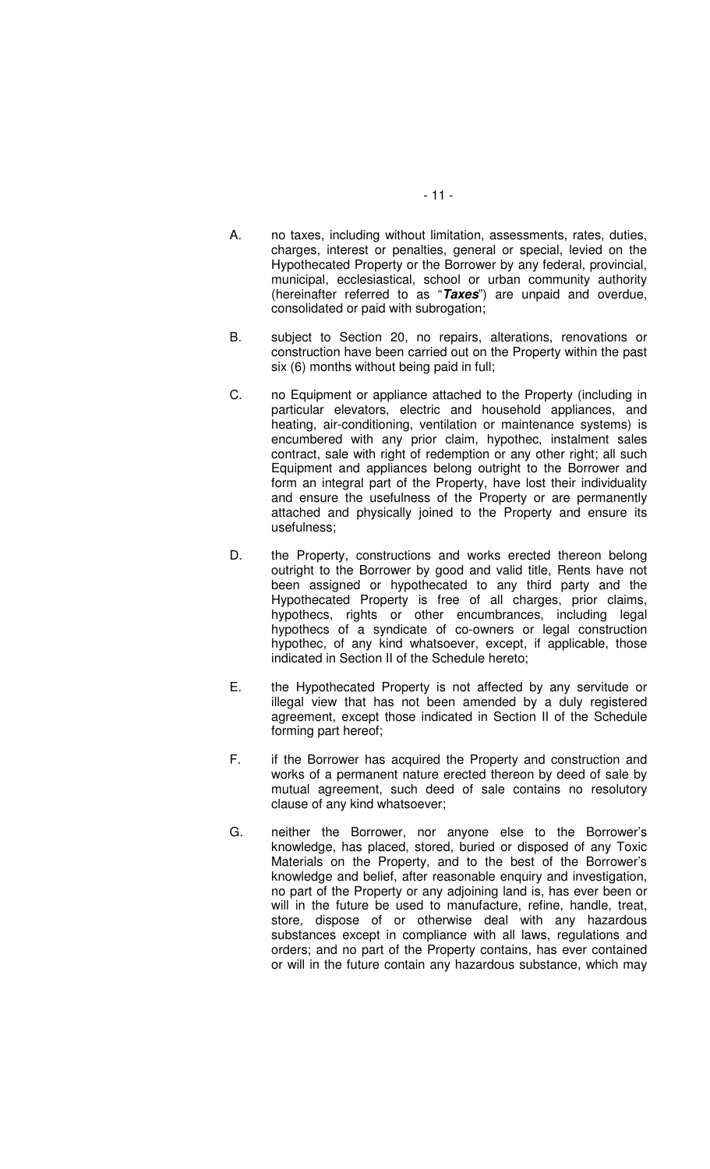- A. no taxes, including without limitation, assessments, rates, duties, charges, interest or penalties, general or special, levied on the Hypothecated Property or the Borrower by any federal, provincial, municipal, ecclesiastical, school or urban community authority (hereinafter referred to as "**Taxes**") are unpaid and overdue, consolidated or paid with subrogation;
- B. subject to Section 20, no repairs, alterations, renovations or construction have been carried out on the Property within the past six (6) months without being paid in full;
- C. no Equipment or appliance attached to the Property (including in particular elevators, electric and household appliances, and heating, air-conditioning, ventilation or maintenance systems) is encumbered with any prior claim, hypothec, instalment sales contract, sale with right of redemption or any other right; all such Equipment and appliances belong outright to the Borrower and form an integral part of the Property, have lost their individuality and ensure the usefulness of the Property or are permanently attached and physically joined to the Property and ensure its usefulness;
- D. the Property, constructions and works erected thereon belong outright to the Borrower by good and valid title, Rents have not been assigned or hypothecated to any third party and the Hypothecated Property is free of all charges, prior claims, hypothecs, rights or other encumbrances, including legal hypothecs of a syndicate of co-owners or legal construction hypothec, of any kind whatsoever, except, if applicable, those indicated in Section II of the Schedule hereto;
- E. the Hypothecated Property is not affected by any servitude or illegal view that has not been amended by a duly registered agreement, except those indicated in Section II of the Schedule forming part hereof;
- F. if the Borrower has acquired the Property and construction and works of a permanent nature erected thereon by deed of sale by mutual agreement, such deed of sale contains no resolutory clause of any kind whatsoever;
- G. neither the Borrower, nor anyone else to the Borrower's knowledge, has placed, stored, buried or disposed of any Toxic Materials on the Property, and to the best of the Borrower's knowledge and belief, after reasonable enquiry and investigation, no part of the Property or any adjoining land is, has ever been or will in the future be used to manufacture, refine, handle, treat, store, dispose of or otherwise deal with any hazardous substances except in compliance with all laws, regulations and orders; and no part of the Property contains, has ever contained or will in the future contain any hazardous substance, which may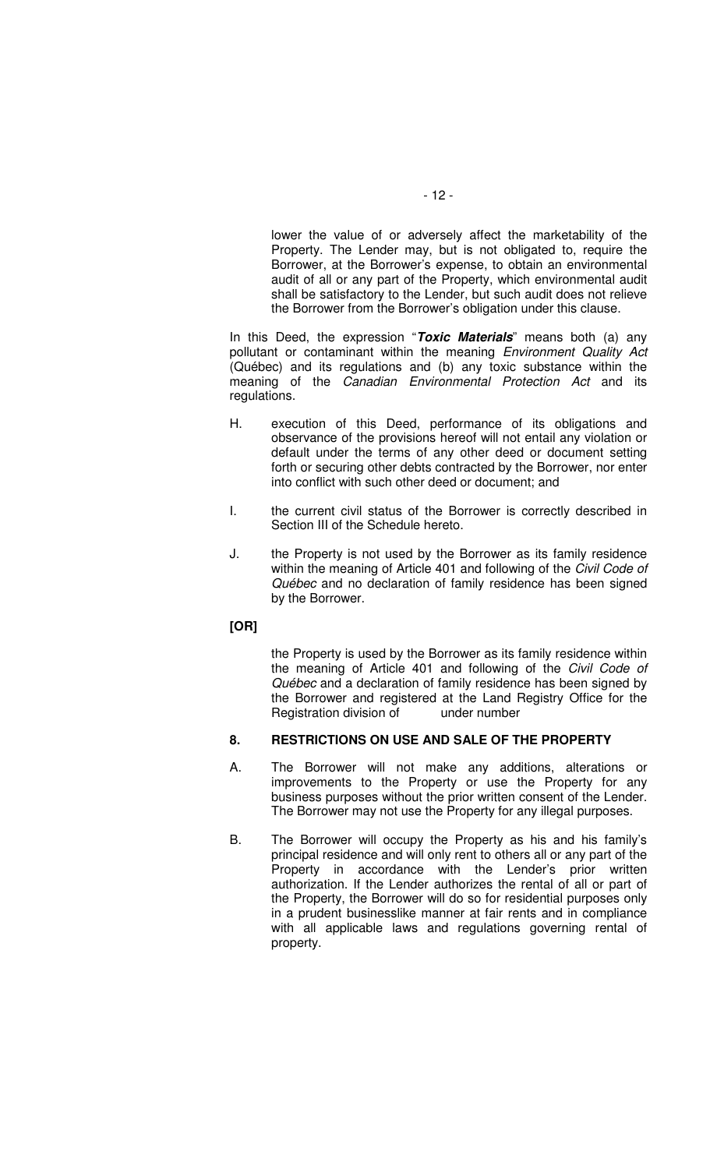lower the value of or adversely affect the marketability of the Property. The Lender may, but is not obligated to, require the Borrower, at the Borrower's expense, to obtain an environmental audit of all or any part of the Property, which environmental audit shall be satisfactory to the Lender, but such audit does not relieve the Borrower from the Borrower's obligation under this clause.

In this Deed, the expression "**Toxic Materials**" means both (a) any pollutant or contaminant within the meaning Environment Quality Act (Québec) and its regulations and (b) any toxic substance within the meaning of the Canadian Environmental Protection Act and its regulations.

- H. execution of this Deed, performance of its obligations and observance of the provisions hereof will not entail any violation or default under the terms of any other deed or document setting forth or securing other debts contracted by the Borrower, nor enter into conflict with such other deed or document; and
- I. the current civil status of the Borrower is correctly described in Section III of the Schedule hereto.
- J. the Property is not used by the Borrower as its family residence within the meaning of Article 401 and following of the Civil Code of Québec and no declaration of family residence has been signed by the Borrower.

### **[OR]**

the Property is used by the Borrower as its family residence within the meaning of Article 401 and following of the Civil Code of Québec and a declaration of family residence has been signed by the Borrower and registered at the Land Registry Office for the Registration division of under number

# **8. RESTRICTIONS ON USE AND SALE OF THE PROPERTY**

- A. The Borrower will not make any additions, alterations or improvements to the Property or use the Property for any business purposes without the prior written consent of the Lender. The Borrower may not use the Property for any illegal purposes.
- B. The Borrower will occupy the Property as his and his family's principal residence and will only rent to others all or any part of the Property in accordance with the Lender's prior written authorization. If the Lender authorizes the rental of all or part of the Property, the Borrower will do so for residential purposes only in a prudent businesslike manner at fair rents and in compliance with all applicable laws and regulations governing rental of property.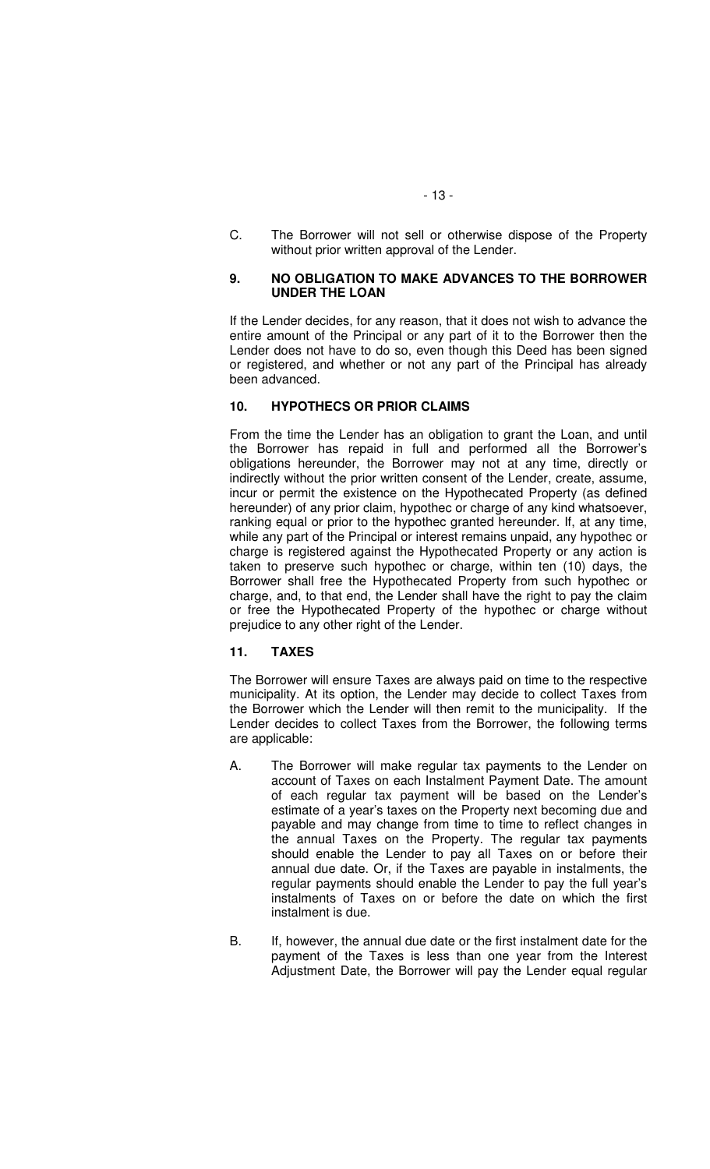C. The Borrower will not sell or otherwise dispose of the Property without prior written approval of the Lender.

### **9. NO OBLIGATION TO MAKE ADVANCES TO THE BORROWER UNDER THE LOAN**

If the Lender decides, for any reason, that it does not wish to advance the entire amount of the Principal or any part of it to the Borrower then the Lender does not have to do so, even though this Deed has been signed or registered, and whether or not any part of the Principal has already been advanced.

## **10. HYPOTHECS OR PRIOR CLAIMS**

From the time the Lender has an obligation to grant the Loan, and until the Borrower has repaid in full and performed all the Borrower's obligations hereunder, the Borrower may not at any time, directly or indirectly without the prior written consent of the Lender, create, assume, incur or permit the existence on the Hypothecated Property (as defined hereunder) of any prior claim, hypothec or charge of any kind whatsoever, ranking equal or prior to the hypothec granted hereunder. If, at any time, while any part of the Principal or interest remains unpaid, any hypothec or charge is registered against the Hypothecated Property or any action is taken to preserve such hypothec or charge, within ten (10) days, the Borrower shall free the Hypothecated Property from such hypothec or charge, and, to that end, the Lender shall have the right to pay the claim or free the Hypothecated Property of the hypothec or charge without prejudice to any other right of the Lender.

# **11. TAXES**

The Borrower will ensure Taxes are always paid on time to the respective municipality. At its option, the Lender may decide to collect Taxes from the Borrower which the Lender will then remit to the municipality. If the Lender decides to collect Taxes from the Borrower, the following terms are applicable:

- A. The Borrower will make regular tax payments to the Lender on account of Taxes on each Instalment Payment Date. The amount of each regular tax payment will be based on the Lender's estimate of a year's taxes on the Property next becoming due and payable and may change from time to time to reflect changes in the annual Taxes on the Property. The regular tax payments should enable the Lender to pay all Taxes on or before their annual due date. Or, if the Taxes are payable in instalments, the regular payments should enable the Lender to pay the full year's instalments of Taxes on or before the date on which the first instalment is due.
- B. If, however, the annual due date or the first instalment date for the payment of the Taxes is less than one year from the Interest Adjustment Date, the Borrower will pay the Lender equal regular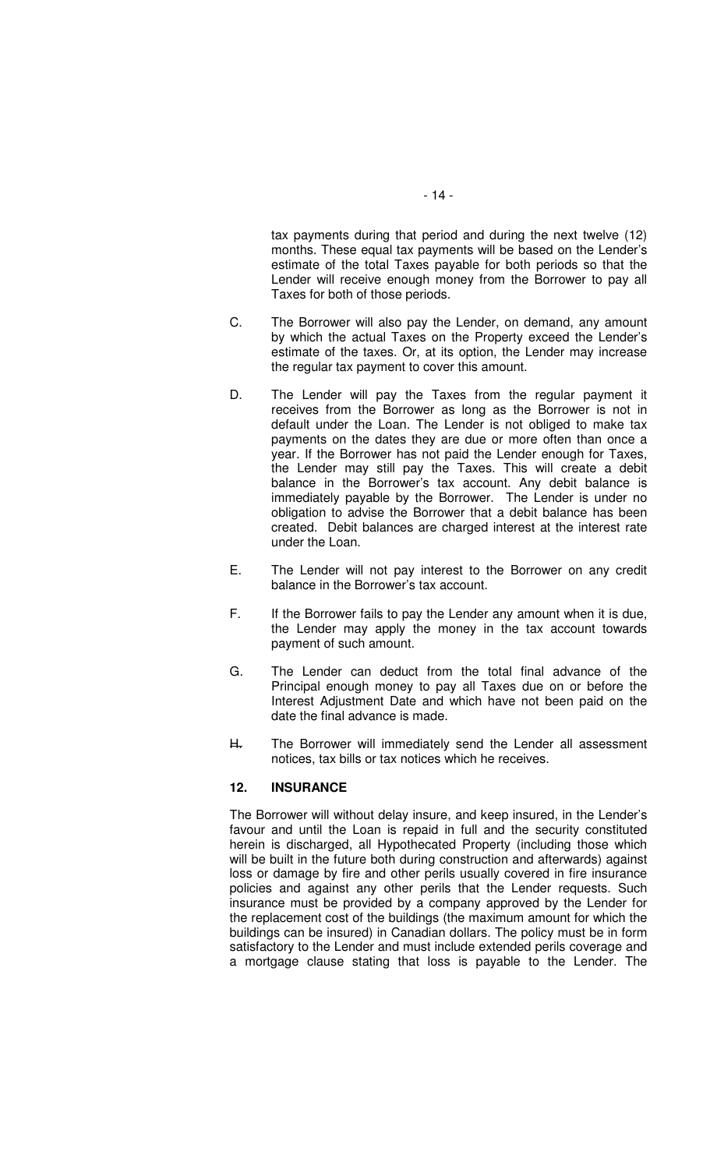tax payments during that period and during the next twelve (12) months. These equal tax payments will be based on the Lender's estimate of the total Taxes payable for both periods so that the Lender will receive enough money from the Borrower to pay all Taxes for both of those periods.

- C. The Borrower will also pay the Lender, on demand, any amount by which the actual Taxes on the Property exceed the Lender's estimate of the taxes. Or, at its option, the Lender may increase the regular tax payment to cover this amount.
- D. The Lender will pay the Taxes from the regular payment it receives from the Borrower as long as the Borrower is not in default under the Loan. The Lender is not obliged to make tax payments on the dates they are due or more often than once a year. If the Borrower has not paid the Lender enough for Taxes, the Lender may still pay the Taxes. This will create a debit balance in the Borrower's tax account. Any debit balance is immediately payable by the Borrower. The Lender is under no obligation to advise the Borrower that a debit balance has been created. Debit balances are charged interest at the interest rate under the Loan.
- E. The Lender will not pay interest to the Borrower on any credit balance in the Borrower's tax account.
- F. If the Borrower fails to pay the Lender any amount when it is due, the Lender may apply the money in the tax account towards payment of such amount.
- G. The Lender can deduct from the total final advance of the Principal enough money to pay all Taxes due on or before the Interest Adjustment Date and which have not been paid on the date the final advance is made.
- H. The Borrower will immediately send the Lender all assessment notices, tax bills or tax notices which he receives.

#### **12. INSURANCE**

The Borrower will without delay insure, and keep insured, in the Lender's favour and until the Loan is repaid in full and the security constituted herein is discharged, all Hypothecated Property (including those which will be built in the future both during construction and afterwards) against loss or damage by fire and other perils usually covered in fire insurance policies and against any other perils that the Lender requests. Such insurance must be provided by a company approved by the Lender for the replacement cost of the buildings (the maximum amount for which the buildings can be insured) in Canadian dollars. The policy must be in form satisfactory to the Lender and must include extended perils coverage and a mortgage clause stating that loss is payable to the Lender. The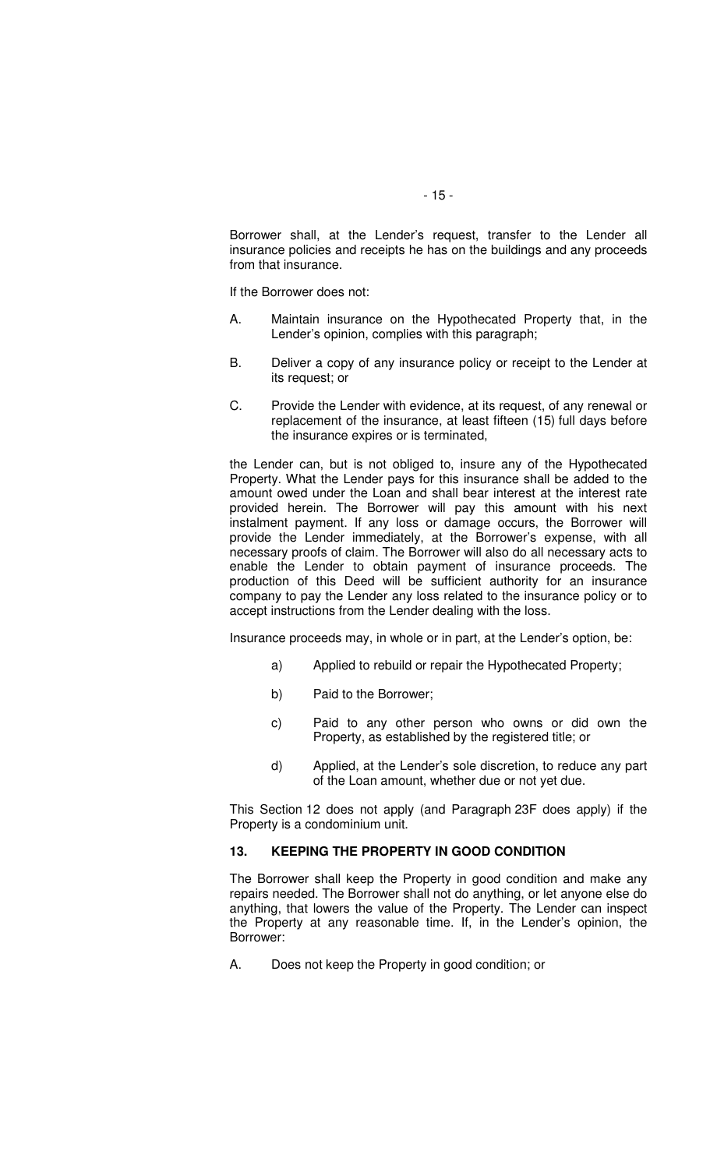Borrower shall, at the Lender's request, transfer to the Lender all insurance policies and receipts he has on the buildings and any proceeds from that insurance.

If the Borrower does not:

- A. Maintain insurance on the Hypothecated Property that, in the Lender's opinion, complies with this paragraph;
- B. Deliver a copy of any insurance policy or receipt to the Lender at its request; or
- C. Provide the Lender with evidence, at its request, of any renewal or replacement of the insurance, at least fifteen (15) full days before the insurance expires or is terminated,

the Lender can, but is not obliged to, insure any of the Hypothecated Property. What the Lender pays for this insurance shall be added to the amount owed under the Loan and shall bear interest at the interest rate provided herein. The Borrower will pay this amount with his next instalment payment. If any loss or damage occurs, the Borrower will provide the Lender immediately, at the Borrower's expense, with all necessary proofs of claim. The Borrower will also do all necessary acts to enable the Lender to obtain payment of insurance proceeds. The production of this Deed will be sufficient authority for an insurance company to pay the Lender any loss related to the insurance policy or to accept instructions from the Lender dealing with the loss.

Insurance proceeds may, in whole or in part, at the Lender's option, be:

- a) Applied to rebuild or repair the Hypothecated Property;
- b) Paid to the Borrower;
- c) Paid to any other person who owns or did own the Property, as established by the registered title; or
- d) Applied, at the Lender's sole discretion, to reduce any part of the Loan amount, whether due or not yet due.

This Section 12 does not apply (and Paragraph 23F does apply) if the Property is a condominium unit.

#### **13. KEEPING THE PROPERTY IN GOOD CONDITION**

The Borrower shall keep the Property in good condition and make any repairs needed. The Borrower shall not do anything, or let anyone else do anything, that lowers the value of the Property. The Lender can inspect the Property at any reasonable time. If, in the Lender's opinion, the Borrower:

A. Does not keep the Property in good condition; or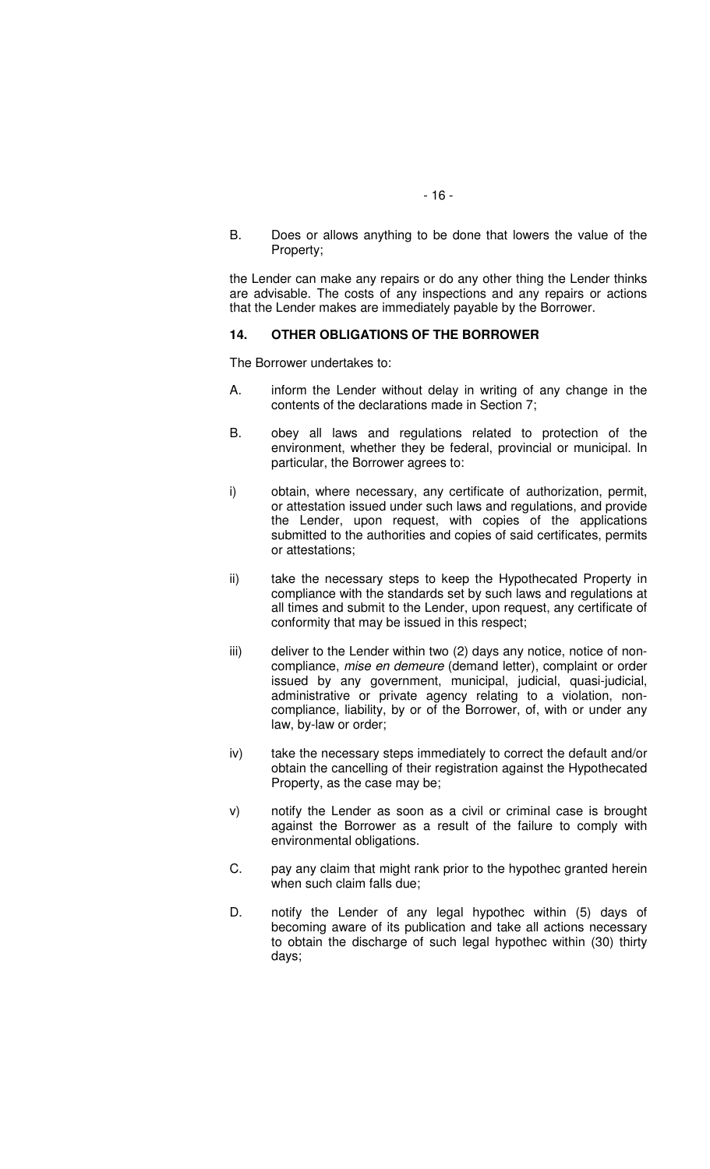B. Does or allows anything to be done that lowers the value of the Property;

the Lender can make any repairs or do any other thing the Lender thinks are advisable. The costs of any inspections and any repairs or actions that the Lender makes are immediately payable by the Borrower.

#### **14. OTHER OBLIGATIONS OF THE BORROWER**

The Borrower undertakes to:

- A. inform the Lender without delay in writing of any change in the contents of the declarations made in Section 7;
- B. obey all laws and regulations related to protection of the environment, whether they be federal, provincial or municipal. In particular, the Borrower agrees to:
- i) obtain, where necessary, any certificate of authorization, permit, or attestation issued under such laws and regulations, and provide the Lender, upon request, with copies of the applications submitted to the authorities and copies of said certificates, permits or attestations;
- ii) take the necessary steps to keep the Hypothecated Property in compliance with the standards set by such laws and regulations at all times and submit to the Lender, upon request, any certificate of conformity that may be issued in this respect;
- iii) deliver to the Lender within two (2) days any notice, notice of noncompliance, mise en demeure (demand letter), complaint or order issued by any government, municipal, judicial, quasi-judicial, administrative or private agency relating to a violation, noncompliance, liability, by or of the Borrower, of, with or under any law, by-law or order;
- iv) take the necessary steps immediately to correct the default and/or obtain the cancelling of their registration against the Hypothecated Property, as the case may be;
- v) notify the Lender as soon as a civil or criminal case is brought against the Borrower as a result of the failure to comply with environmental obligations.
- C. pay any claim that might rank prior to the hypothec granted herein when such claim falls due;
- D. notify the Lender of any legal hypothec within (5) days of becoming aware of its publication and take all actions necessary to obtain the discharge of such legal hypothec within (30) thirty days;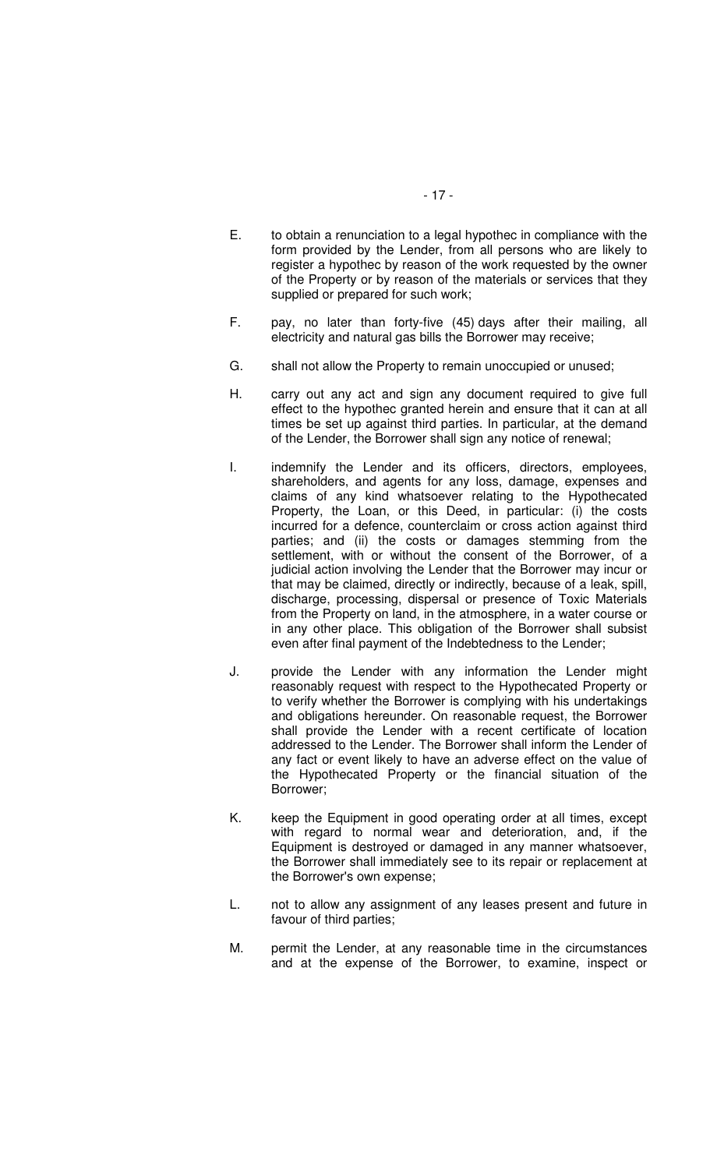- E. to obtain a renunciation to a legal hypothec in compliance with the form provided by the Lender, from all persons who are likely to register a hypothec by reason of the work requested by the owner of the Property or by reason of the materials or services that they supplied or prepared for such work;
- F. pay, no later than forty-five (45) days after their mailing, all electricity and natural gas bills the Borrower may receive;
- G. shall not allow the Property to remain unoccupied or unused;
- H. carry out any act and sign any document required to give full effect to the hypothec granted herein and ensure that it can at all times be set up against third parties. In particular, at the demand of the Lender, the Borrower shall sign any notice of renewal;
- I. indemnify the Lender and its officers, directors, employees, shareholders, and agents for any loss, damage, expenses and claims of any kind whatsoever relating to the Hypothecated Property, the Loan, or this Deed, in particular: (i) the costs incurred for a defence, counterclaim or cross action against third parties; and (ii) the costs or damages stemming from the settlement, with or without the consent of the Borrower, of a judicial action involving the Lender that the Borrower may incur or that may be claimed, directly or indirectly, because of a leak, spill, discharge, processing, dispersal or presence of Toxic Materials from the Property on land, in the atmosphere, in a water course or in any other place. This obligation of the Borrower shall subsist even after final payment of the Indebtedness to the Lender;
- J. provide the Lender with any information the Lender might reasonably request with respect to the Hypothecated Property or to verify whether the Borrower is complying with his undertakings and obligations hereunder. On reasonable request, the Borrower shall provide the Lender with a recent certificate of location addressed to the Lender. The Borrower shall inform the Lender of any fact or event likely to have an adverse effect on the value of the Hypothecated Property or the financial situation of the Borrower;
- K. keep the Equipment in good operating order at all times, except with regard to normal wear and deterioration, and, if the Equipment is destroyed or damaged in any manner whatsoever, the Borrower shall immediately see to its repair or replacement at the Borrower's own expense;
- L. not to allow any assignment of any leases present and future in favour of third parties;
- M. permit the Lender, at any reasonable time in the circumstances and at the expense of the Borrower, to examine, inspect or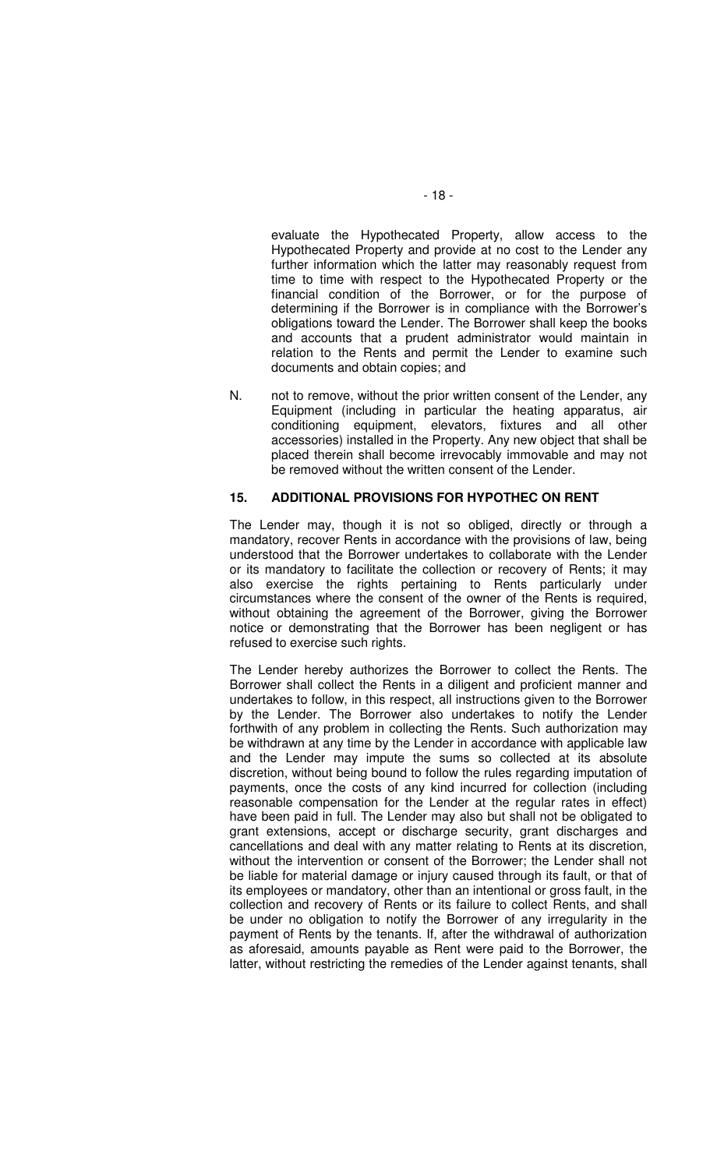evaluate the Hypothecated Property, allow access to the Hypothecated Property and provide at no cost to the Lender any further information which the latter may reasonably request from time to time with respect to the Hypothecated Property or the financial condition of the Borrower, or for the purpose of determining if the Borrower is in compliance with the Borrower's obligations toward the Lender. The Borrower shall keep the books and accounts that a prudent administrator would maintain in relation to the Rents and permit the Lender to examine such documents and obtain copies; and

N. not to remove, without the prior written consent of the Lender, any Equipment (including in particular the heating apparatus, air conditioning equipment, elevators, fixtures and all other accessories) installed in the Property. Any new object that shall be placed therein shall become irrevocably immovable and may not be removed without the written consent of the Lender.

#### **15. ADDITIONAL PROVISIONS FOR HYPOTHEC ON RENT**

The Lender may, though it is not so obliged, directly or through a mandatory, recover Rents in accordance with the provisions of law, being understood that the Borrower undertakes to collaborate with the Lender or its mandatory to facilitate the collection or recovery of Rents; it may also exercise the rights pertaining to Rents particularly under circumstances where the consent of the owner of the Rents is required, without obtaining the agreement of the Borrower, giving the Borrower notice or demonstrating that the Borrower has been negligent or has refused to exercise such rights.

The Lender hereby authorizes the Borrower to collect the Rents. The Borrower shall collect the Rents in a diligent and proficient manner and undertakes to follow, in this respect, all instructions given to the Borrower by the Lender. The Borrower also undertakes to notify the Lender forthwith of any problem in collecting the Rents. Such authorization may be withdrawn at any time by the Lender in accordance with applicable law and the Lender may impute the sums so collected at its absolute discretion, without being bound to follow the rules regarding imputation of payments, once the costs of any kind incurred for collection (including reasonable compensation for the Lender at the regular rates in effect) have been paid in full. The Lender may also but shall not be obligated to grant extensions, accept or discharge security, grant discharges and cancellations and deal with any matter relating to Rents at its discretion, without the intervention or consent of the Borrower; the Lender shall not be liable for material damage or injury caused through its fault, or that of its employees or mandatory, other than an intentional or gross fault, in the collection and recovery of Rents or its failure to collect Rents, and shall be under no obligation to notify the Borrower of any irregularity in the payment of Rents by the tenants. If, after the withdrawal of authorization as aforesaid, amounts payable as Rent were paid to the Borrower, the latter, without restricting the remedies of the Lender against tenants, shall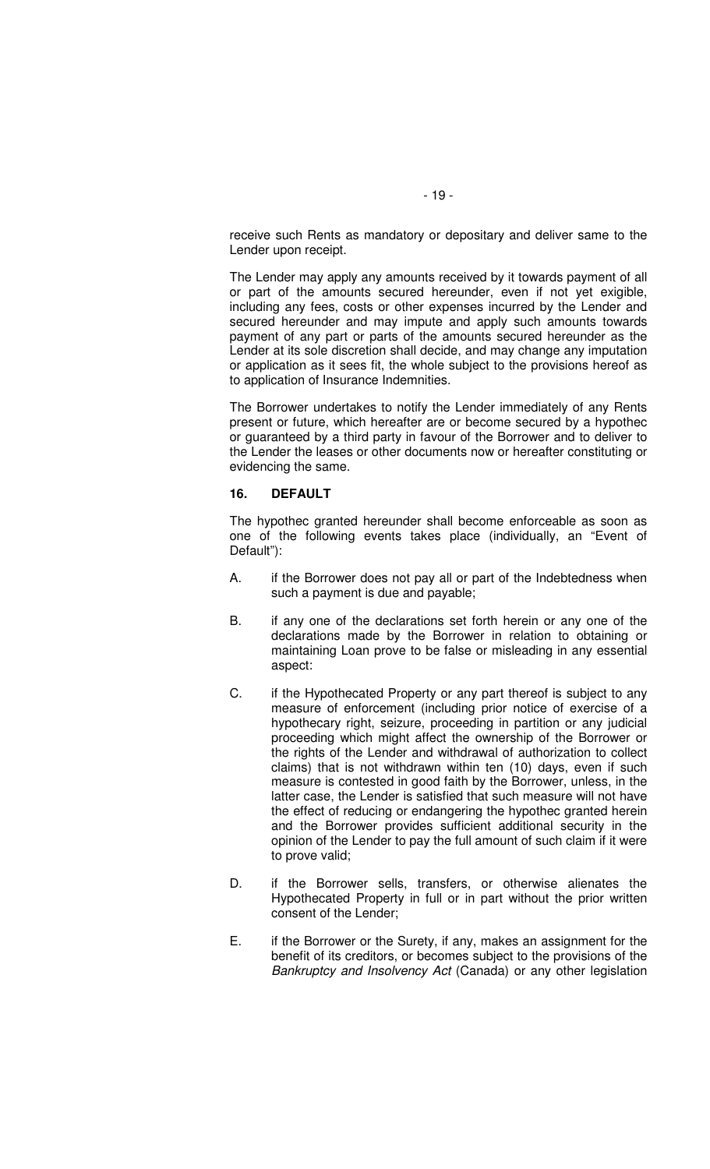receive such Rents as mandatory or depositary and deliver same to the Lender upon receipt.

The Lender may apply any amounts received by it towards payment of all or part of the amounts secured hereunder, even if not yet exigible, including any fees, costs or other expenses incurred by the Lender and secured hereunder and may impute and apply such amounts towards payment of any part or parts of the amounts secured hereunder as the Lender at its sole discretion shall decide, and may change any imputation or application as it sees fit, the whole subject to the provisions hereof as to application of Insurance Indemnities.

The Borrower undertakes to notify the Lender immediately of any Rents present or future, which hereafter are or become secured by a hypothec or guaranteed by a third party in favour of the Borrower and to deliver to the Lender the leases or other documents now or hereafter constituting or evidencing the same.

#### **16. DEFAULT**

The hypothec granted hereunder shall become enforceable as soon as one of the following events takes place (individually, an "Event of Default"):

- A. if the Borrower does not pay all or part of the Indebtedness when such a payment is due and payable;
- B. if any one of the declarations set forth herein or any one of the declarations made by the Borrower in relation to obtaining or maintaining Loan prove to be false or misleading in any essential aspect:
- C. if the Hypothecated Property or any part thereof is subject to any measure of enforcement (including prior notice of exercise of a hypothecary right, seizure, proceeding in partition or any judicial proceeding which might affect the ownership of the Borrower or the rights of the Lender and withdrawal of authorization to collect claims) that is not withdrawn within ten (10) days, even if such measure is contested in good faith by the Borrower, unless, in the latter case, the Lender is satisfied that such measure will not have the effect of reducing or endangering the hypothec granted herein and the Borrower provides sufficient additional security in the opinion of the Lender to pay the full amount of such claim if it were to prove valid;
- D. if the Borrower sells, transfers, or otherwise alienates the Hypothecated Property in full or in part without the prior written consent of the Lender;
- E. if the Borrower or the Surety, if any, makes an assignment for the benefit of its creditors, or becomes subject to the provisions of the Bankruptcy and Insolvency Act (Canada) or any other legislation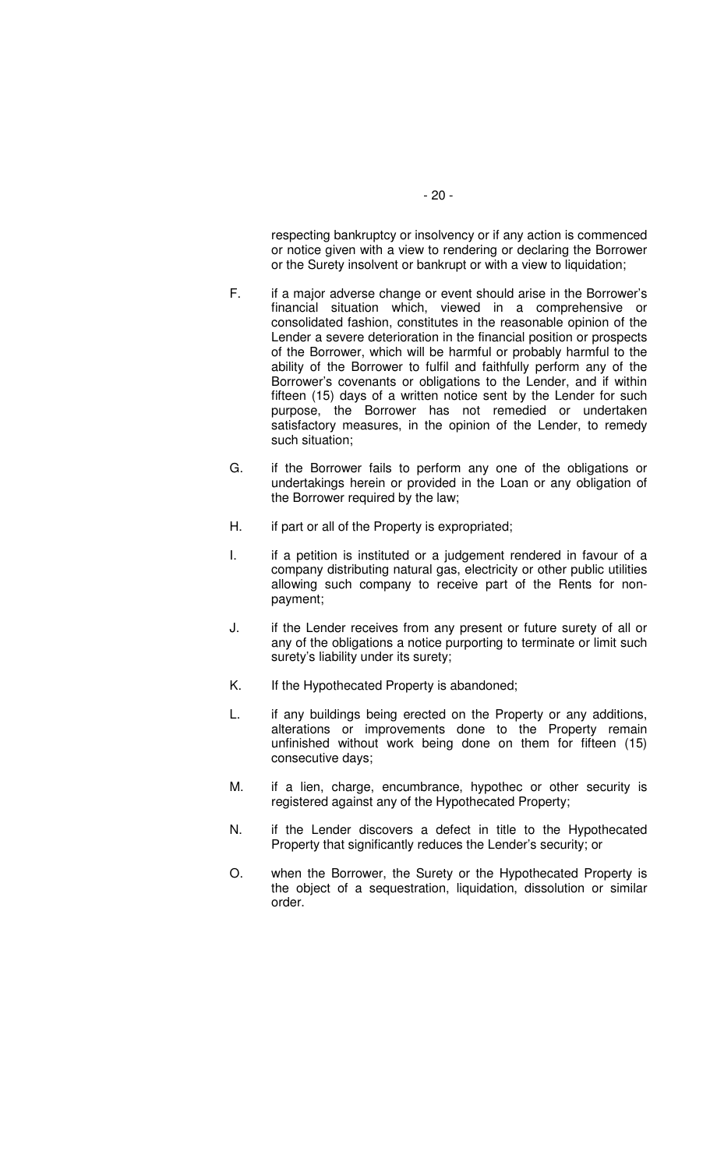respecting bankruptcy or insolvency or if any action is commenced or notice given with a view to rendering or declaring the Borrower or the Surety insolvent or bankrupt or with a view to liquidation;

- F. if a major adverse change or event should arise in the Borrower's financial situation which, viewed in a comprehensive or consolidated fashion, constitutes in the reasonable opinion of the Lender a severe deterioration in the financial position or prospects of the Borrower, which will be harmful or probably harmful to the ability of the Borrower to fulfil and faithfully perform any of the Borrower's covenants or obligations to the Lender, and if within fifteen (15) days of a written notice sent by the Lender for such purpose, the Borrower has not remedied or undertaken satisfactory measures, in the opinion of the Lender, to remedy such situation;
- G. if the Borrower fails to perform any one of the obligations or undertakings herein or provided in the Loan or any obligation of the Borrower required by the law;
- H. if part or all of the Property is expropriated;
- I. if a petition is instituted or a judgement rendered in favour of a company distributing natural gas, electricity or other public utilities allowing such company to receive part of the Rents for nonpayment;
- J. if the Lender receives from any present or future surety of all or any of the obligations a notice purporting to terminate or limit such surety's liability under its surety;
- K. If the Hypothecated Property is abandoned;
- L. if any buildings being erected on the Property or any additions, alterations or improvements done to the Property remain unfinished without work being done on them for fifteen (15) consecutive days;
- M. if a lien, charge, encumbrance, hypothec or other security is registered against any of the Hypothecated Property;
- N. if the Lender discovers a defect in title to the Hypothecated Property that significantly reduces the Lender's security; or
- O. when the Borrower, the Surety or the Hypothecated Property is the object of a sequestration, liquidation, dissolution or similar order.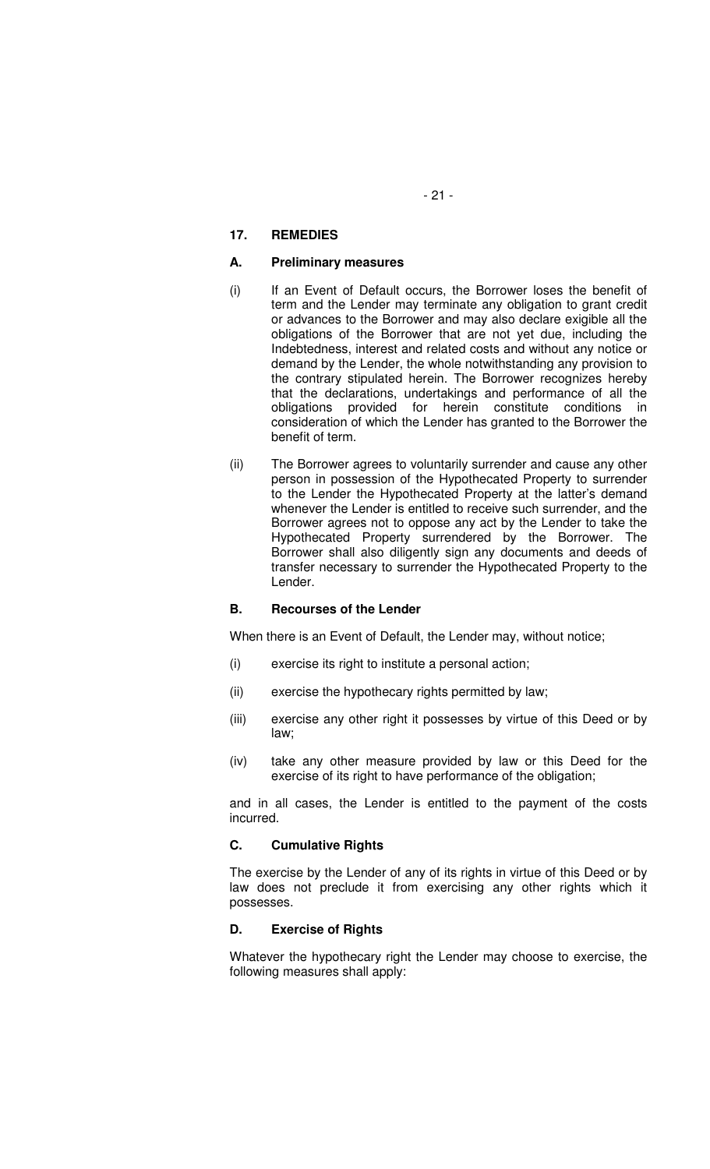## **17. REMEDIES**

### **A. Preliminary measures**

- (i) If an Event of Default occurs, the Borrower loses the benefit of term and the Lender may terminate any obligation to grant credit or advances to the Borrower and may also declare exigible all the obligations of the Borrower that are not yet due, including the Indebtedness, interest and related costs and without any notice or demand by the Lender, the whole notwithstanding any provision to the contrary stipulated herein. The Borrower recognizes hereby that the declarations, undertakings and performance of all the obligations provided for herein constitute conditions in consideration of which the Lender has granted to the Borrower the benefit of term.
- (ii) The Borrower agrees to voluntarily surrender and cause any other person in possession of the Hypothecated Property to surrender to the Lender the Hypothecated Property at the latter's demand whenever the Lender is entitled to receive such surrender, and the Borrower agrees not to oppose any act by the Lender to take the Hypothecated Property surrendered by the Borrower. The Borrower shall also diligently sign any documents and deeds of transfer necessary to surrender the Hypothecated Property to the Lender.

#### **B. Recourses of the Lender**

When there is an Event of Default, the Lender may, without notice;

- (i) exercise its right to institute a personal action;
- (ii) exercise the hypothecary rights permitted by law;
- (iii) exercise any other right it possesses by virtue of this Deed or by law;
- (iv) take any other measure provided by law or this Deed for the exercise of its right to have performance of the obligation;

and in all cases, the Lender is entitled to the payment of the costs incurred.

#### **C. Cumulative Rights**

The exercise by the Lender of any of its rights in virtue of this Deed or by law does not preclude it from exercising any other rights which it possesses.

# **D. Exercise of Rights**

Whatever the hypothecary right the Lender may choose to exercise, the following measures shall apply: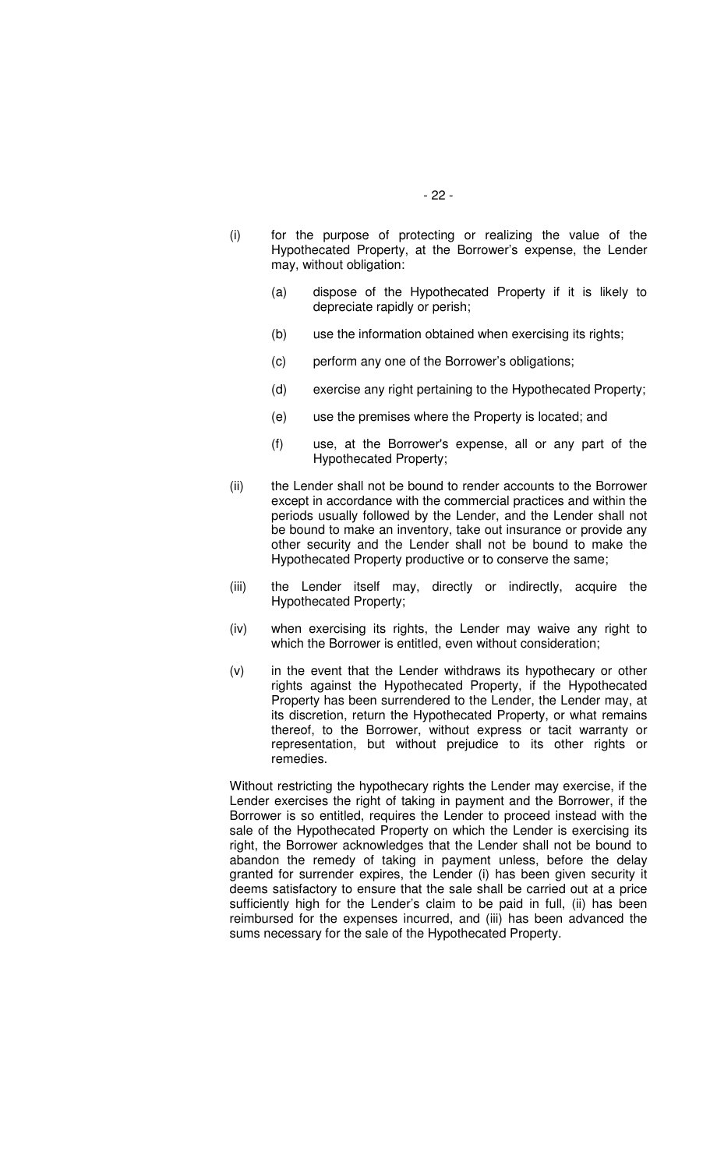- (i) for the purpose of protecting or realizing the value of the Hypothecated Property, at the Borrower's expense, the Lender may, without obligation:
	- (a) dispose of the Hypothecated Property if it is likely to depreciate rapidly or perish;
	- (b) use the information obtained when exercising its rights;
	- (c) perform any one of the Borrower's obligations;
	- (d) exercise any right pertaining to the Hypothecated Property;
	- (e) use the premises where the Property is located; and
	- (f) use, at the Borrower's expense, all or any part of the Hypothecated Property;
- (ii) the Lender shall not be bound to render accounts to the Borrower except in accordance with the commercial practices and within the periods usually followed by the Lender, and the Lender shall not be bound to make an inventory, take out insurance or provide any other security and the Lender shall not be bound to make the Hypothecated Property productive or to conserve the same;
- (iii) the Lender itself may, directly or indirectly, acquire the Hypothecated Property;
- (iv) when exercising its rights, the Lender may waive any right to which the Borrower is entitled, even without consideration;
- (v) in the event that the Lender withdraws its hypothecary or other rights against the Hypothecated Property, if the Hypothecated Property has been surrendered to the Lender, the Lender may, at its discretion, return the Hypothecated Property, or what remains thereof, to the Borrower, without express or tacit warranty or representation, but without prejudice to its other rights or remedies.

Without restricting the hypothecary rights the Lender may exercise, if the Lender exercises the right of taking in payment and the Borrower, if the Borrower is so entitled, requires the Lender to proceed instead with the sale of the Hypothecated Property on which the Lender is exercising its right, the Borrower acknowledges that the Lender shall not be bound to abandon the remedy of taking in payment unless, before the delay granted for surrender expires, the Lender (i) has been given security it deems satisfactory to ensure that the sale shall be carried out at a price sufficiently high for the Lender's claim to be paid in full, (ii) has been reimbursed for the expenses incurred, and (iii) has been advanced the sums necessary for the sale of the Hypothecated Property.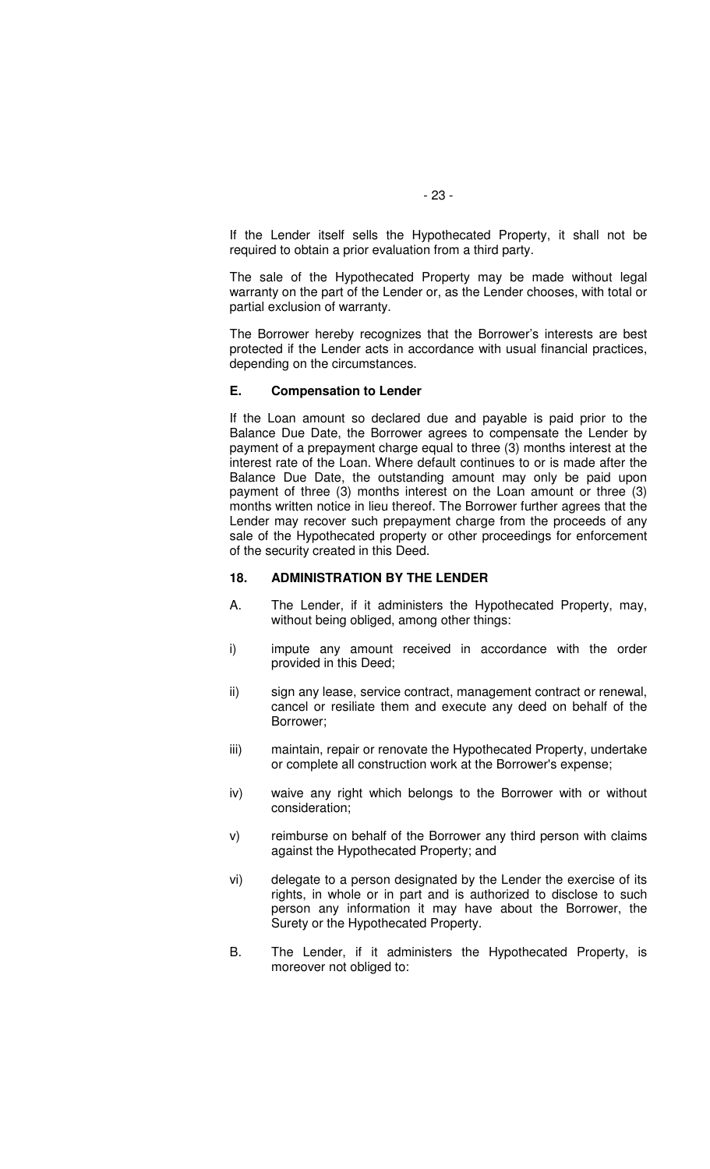If the Lender itself sells the Hypothecated Property, it shall not be required to obtain a prior evaluation from a third party.

The sale of the Hypothecated Property may be made without legal warranty on the part of the Lender or, as the Lender chooses, with total or partial exclusion of warranty.

The Borrower hereby recognizes that the Borrower's interests are best protected if the Lender acts in accordance with usual financial practices, depending on the circumstances.

#### **E. Compensation to Lender**

If the Loan amount so declared due and payable is paid prior to the Balance Due Date, the Borrower agrees to compensate the Lender by payment of a prepayment charge equal to three (3) months interest at the interest rate of the Loan. Where default continues to or is made after the Balance Due Date, the outstanding amount may only be paid upon payment of three (3) months interest on the Loan amount or three (3) months written notice in lieu thereof. The Borrower further agrees that the Lender may recover such prepayment charge from the proceeds of any sale of the Hypothecated property or other proceedings for enforcement of the security created in this Deed.

### **18. ADMINISTRATION BY THE LENDER**

- A. The Lender, if it administers the Hypothecated Property, may, without being obliged, among other things:
- i) impute any amount received in accordance with the order provided in this Deed;
- ii) sign any lease, service contract, management contract or renewal, cancel or resiliate them and execute any deed on behalf of the Borrower;
- iii) maintain, repair or renovate the Hypothecated Property, undertake or complete all construction work at the Borrower's expense;
- iv) waive any right which belongs to the Borrower with or without consideration;
- v) reimburse on behalf of the Borrower any third person with claims against the Hypothecated Property; and
- vi) delegate to a person designated by the Lender the exercise of its rights, in whole or in part and is authorized to disclose to such person any information it may have about the Borrower, the Surety or the Hypothecated Property.
- B. The Lender, if it administers the Hypothecated Property, is moreover not obliged to: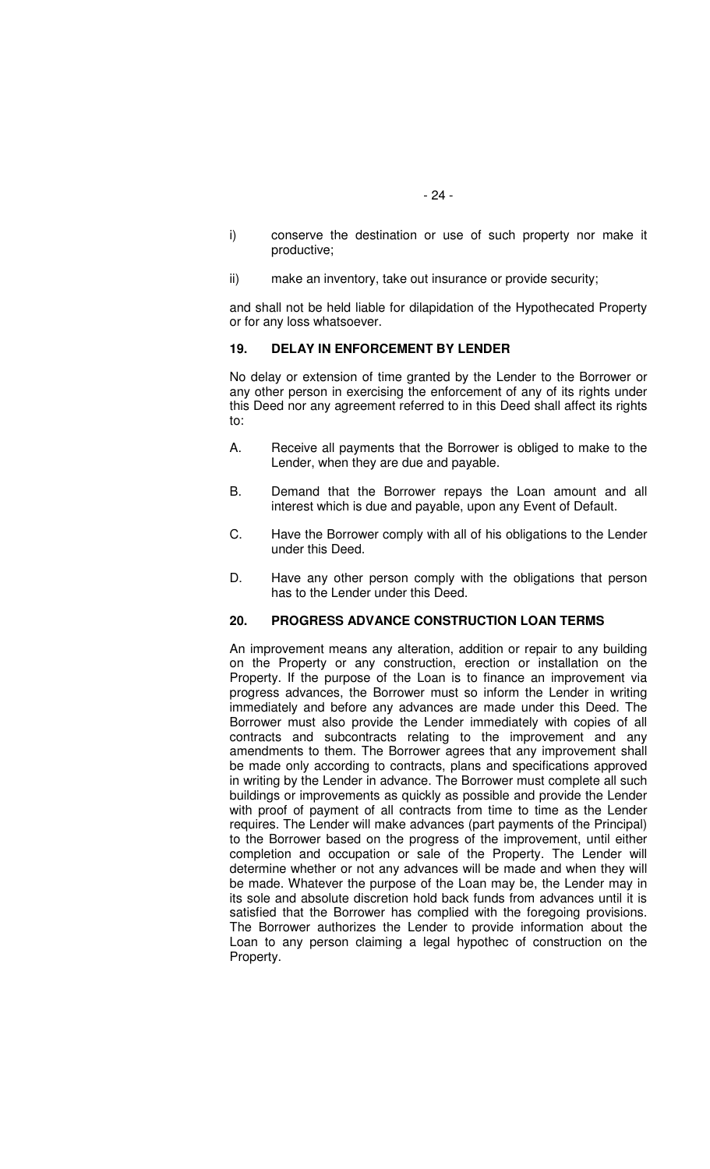- i) conserve the destination or use of such property nor make it productive;
- ii) make an inventory, take out insurance or provide security;

and shall not be held liable for dilapidation of the Hypothecated Property or for any loss whatsoever.

#### **19. DELAY IN ENFORCEMENT BY LENDER**

No delay or extension of time granted by the Lender to the Borrower or any other person in exercising the enforcement of any of its rights under this Deed nor any agreement referred to in this Deed shall affect its rights to:

- A. Receive all payments that the Borrower is obliged to make to the Lender, when they are due and payable.
- B. Demand that the Borrower repays the Loan amount and all interest which is due and payable, upon any Event of Default.
- C. Have the Borrower comply with all of his obligations to the Lender under this Deed.
- D. Have any other person comply with the obligations that person has to the Lender under this Deed.

# **20. PROGRESS ADVANCE CONSTRUCTION LOAN TERMS**

An improvement means any alteration, addition or repair to any building on the Property or any construction, erection or installation on the Property. If the purpose of the Loan is to finance an improvement via progress advances, the Borrower must so inform the Lender in writing immediately and before any advances are made under this Deed. The Borrower must also provide the Lender immediately with copies of all contracts and subcontracts relating to the improvement and any amendments to them. The Borrower agrees that any improvement shall be made only according to contracts, plans and specifications approved in writing by the Lender in advance. The Borrower must complete all such buildings or improvements as quickly as possible and provide the Lender with proof of payment of all contracts from time to time as the Lender requires. The Lender will make advances (part payments of the Principal) to the Borrower based on the progress of the improvement, until either completion and occupation or sale of the Property. The Lender will determine whether or not any advances will be made and when they will be made. Whatever the purpose of the Loan may be, the Lender may in its sole and absolute discretion hold back funds from advances until it is satisfied that the Borrower has complied with the foregoing provisions. The Borrower authorizes the Lender to provide information about the Loan to any person claiming a legal hypothec of construction on the Property.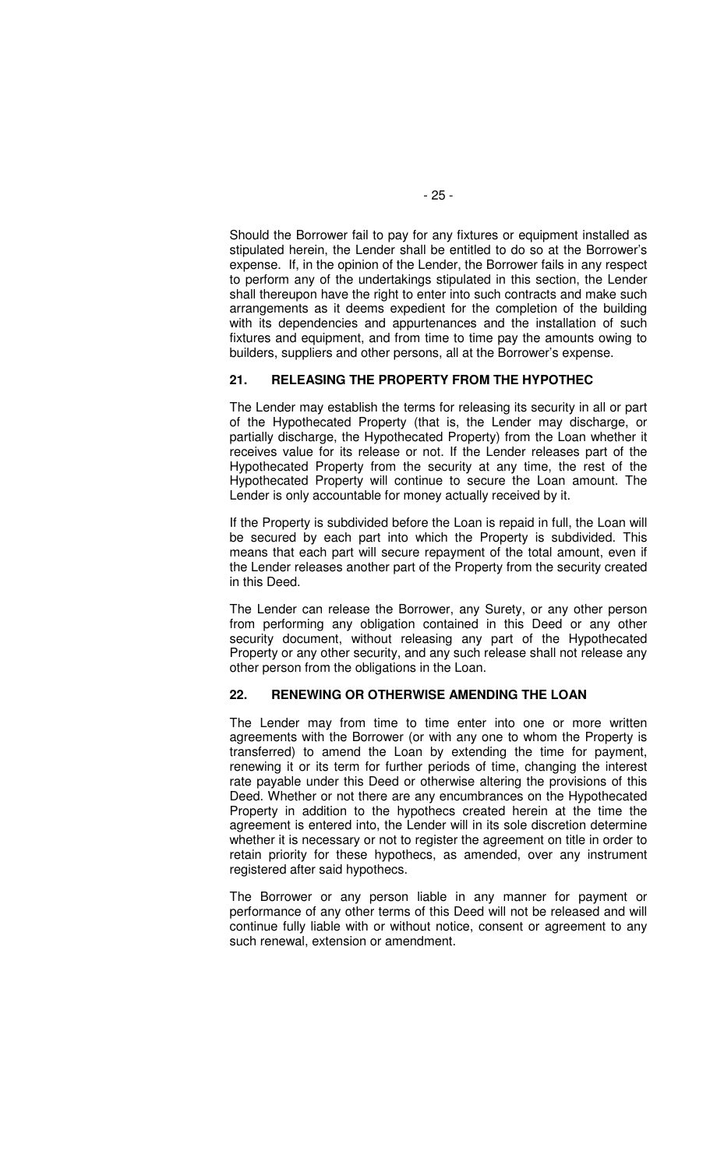Should the Borrower fail to pay for any fixtures or equipment installed as stipulated herein, the Lender shall be entitled to do so at the Borrower's expense. If, in the opinion of the Lender, the Borrower fails in any respect to perform any of the undertakings stipulated in this section, the Lender shall thereupon have the right to enter into such contracts and make such arrangements as it deems expedient for the completion of the building with its dependencies and appurtenances and the installation of such fixtures and equipment, and from time to time pay the amounts owing to builders, suppliers and other persons, all at the Borrower's expense.

# **21. RELEASING THE PROPERTY FROM THE HYPOTHEC**

The Lender may establish the terms for releasing its security in all or part of the Hypothecated Property (that is, the Lender may discharge, or partially discharge, the Hypothecated Property) from the Loan whether it receives value for its release or not. If the Lender releases part of the Hypothecated Property from the security at any time, the rest of the Hypothecated Property will continue to secure the Loan amount. The Lender is only accountable for money actually received by it.

If the Property is subdivided before the Loan is repaid in full, the Loan will be secured by each part into which the Property is subdivided. This means that each part will secure repayment of the total amount, even if the Lender releases another part of the Property from the security created in this Deed.

The Lender can release the Borrower, any Surety, or any other person from performing any obligation contained in this Deed or any other security document, without releasing any part of the Hypothecated Property or any other security, and any such release shall not release any other person from the obligations in the Loan.

# **22. RENEWING OR OTHERWISE AMENDING THE LOAN**

The Lender may from time to time enter into one or more written agreements with the Borrower (or with any one to whom the Property is transferred) to amend the Loan by extending the time for payment, renewing it or its term for further periods of time, changing the interest rate payable under this Deed or otherwise altering the provisions of this Deed. Whether or not there are any encumbrances on the Hypothecated Property in addition to the hypothecs created herein at the time the agreement is entered into, the Lender will in its sole discretion determine whether it is necessary or not to register the agreement on title in order to retain priority for these hypothecs, as amended, over any instrument registered after said hypothecs.

The Borrower or any person liable in any manner for payment or performance of any other terms of this Deed will not be released and will continue fully liable with or without notice, consent or agreement to any such renewal, extension or amendment.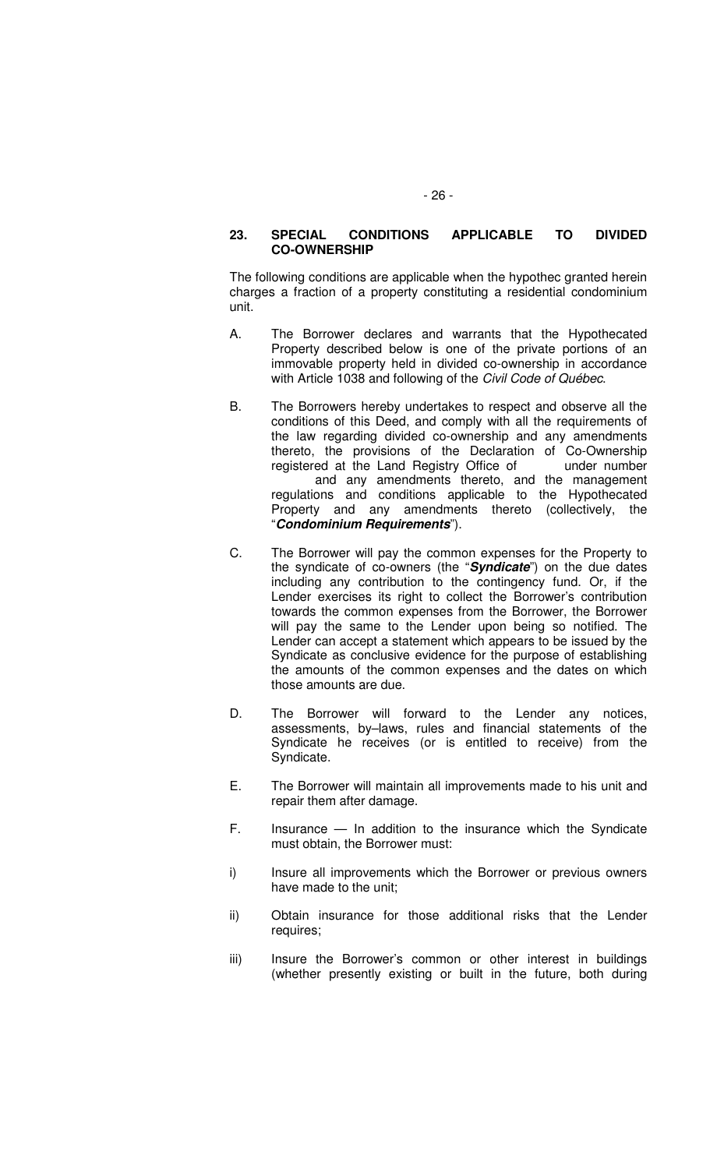### **23. SPECIAL CONDITIONS APPLICABLE TO DIVIDED CO-OWNERSHIP**

The following conditions are applicable when the hypothec granted herein charges a fraction of a property constituting a residential condominium unit.

- A. The Borrower declares and warrants that the Hypothecated Property described below is one of the private portions of an immovable property held in divided co-ownership in accordance with Article 1038 and following of the Civil Code of Québec.
- B. The Borrowers hereby undertakes to respect and observe all the conditions of this Deed, and comply with all the requirements of the law regarding divided co-ownership and any amendments thereto, the provisions of the Declaration of Co-Ownership registered at the Land Registry Office of under number and any amendments thereto, and the management regulations and conditions applicable to the Hypothecated Property and any amendments thereto (collectively, the "**Condominium Requirements**").
- C. The Borrower will pay the common expenses for the Property to the syndicate of co-owners (the "**Syndicate**") on the due dates including any contribution to the contingency fund. Or, if the Lender exercises its right to collect the Borrower's contribution towards the common expenses from the Borrower, the Borrower will pay the same to the Lender upon being so notified. The Lender can accept a statement which appears to be issued by the Syndicate as conclusive evidence for the purpose of establishing the amounts of the common expenses and the dates on which those amounts are due.
- D. The Borrower will forward to the Lender any notices, assessments, by–laws, rules and financial statements of the Syndicate he receives (or is entitled to receive) from the Syndicate.
- E. The Borrower will maintain all improvements made to his unit and repair them after damage.
- F. Insurance In addition to the insurance which the Syndicate must obtain, the Borrower must:
- i) Insure all improvements which the Borrower or previous owners have made to the unit;
- ii) Obtain insurance for those additional risks that the Lender requires;
- iii) Insure the Borrower's common or other interest in buildings (whether presently existing or built in the future, both during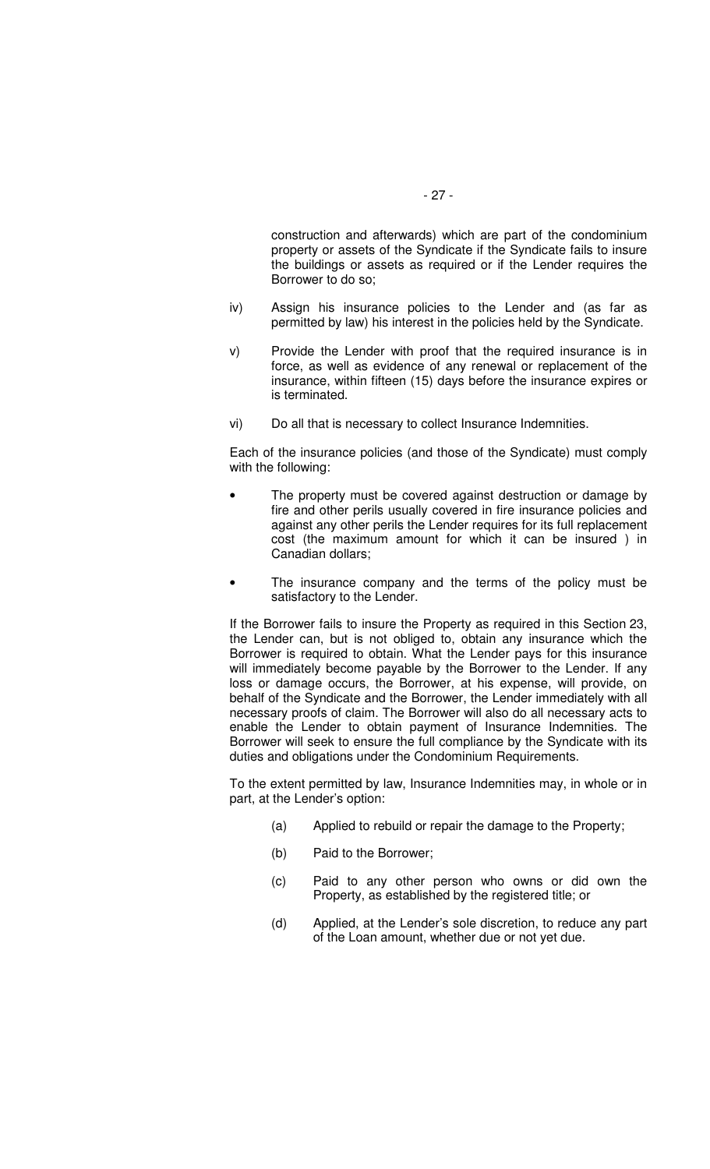construction and afterwards) which are part of the condominium property or assets of the Syndicate if the Syndicate fails to insure the buildings or assets as required or if the Lender requires the Borrower to do so;

- iv) Assign his insurance policies to the Lender and (as far as permitted by law) his interest in the policies held by the Syndicate.
- v) Provide the Lender with proof that the required insurance is in force, as well as evidence of any renewal or replacement of the insurance, within fifteen (15) days before the insurance expires or is terminated.
- vi) Do all that is necessary to collect Insurance Indemnities.

Each of the insurance policies (and those of the Syndicate) must comply with the following:

- The property must be covered against destruction or damage by fire and other perils usually covered in fire insurance policies and against any other perils the Lender requires for its full replacement cost (the maximum amount for which it can be insured ) in Canadian dollars;
- The insurance company and the terms of the policy must be satisfactory to the Lender.

If the Borrower fails to insure the Property as required in this Section 23, the Lender can, but is not obliged to, obtain any insurance which the Borrower is required to obtain. What the Lender pays for this insurance will immediately become payable by the Borrower to the Lender. If any loss or damage occurs, the Borrower, at his expense, will provide, on behalf of the Syndicate and the Borrower, the Lender immediately with all necessary proofs of claim. The Borrower will also do all necessary acts to enable the Lender to obtain payment of Insurance Indemnities. The Borrower will seek to ensure the full compliance by the Syndicate with its duties and obligations under the Condominium Requirements.

To the extent permitted by law, Insurance Indemnities may, in whole or in part, at the Lender's option:

- (a) Applied to rebuild or repair the damage to the Property;
- (b) Paid to the Borrower;
- (c) Paid to any other person who owns or did own the Property, as established by the registered title; or
- (d) Applied, at the Lender's sole discretion, to reduce any part of the Loan amount, whether due or not yet due.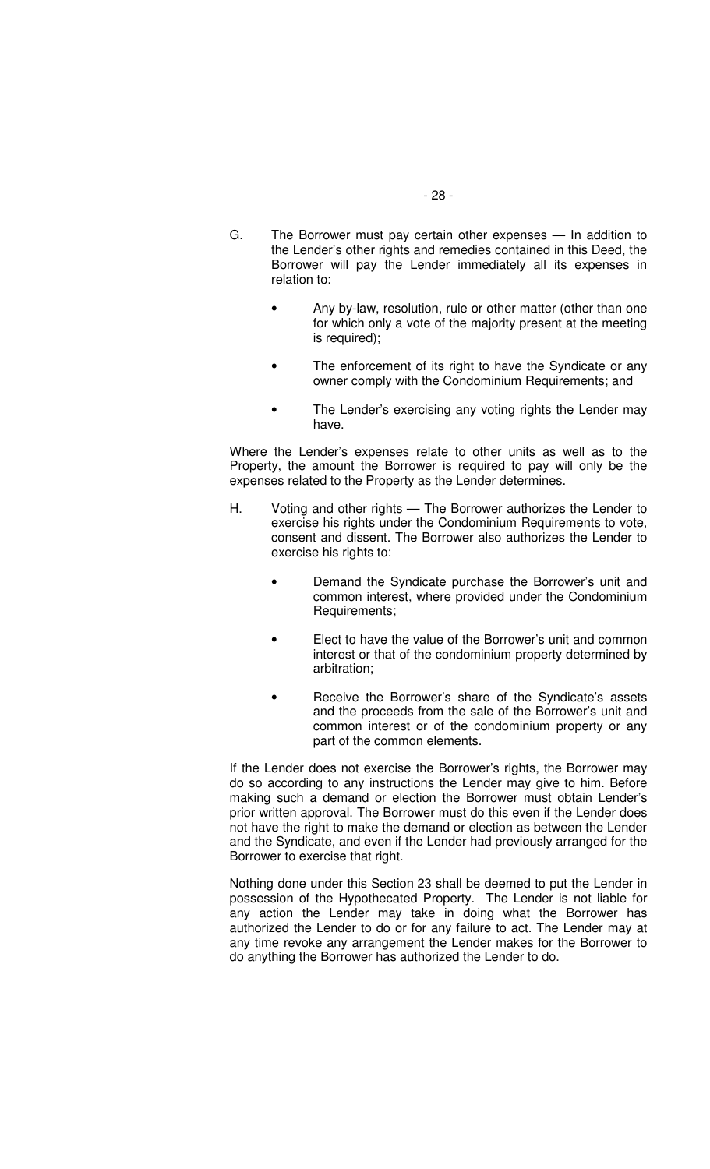- G. The Borrower must pay certain other expenses In addition to the Lender's other rights and remedies contained in this Deed, the Borrower will pay the Lender immediately all its expenses in relation to:
	- Any by-law, resolution, rule or other matter (other than one for which only a vote of the majority present at the meeting is required);
	- The enforcement of its right to have the Syndicate or any owner comply with the Condominium Requirements; and
	- The Lender's exercising any voting rights the Lender may have.

Where the Lender's expenses relate to other units as well as to the Property, the amount the Borrower is required to pay will only be the expenses related to the Property as the Lender determines.

- H. Voting and other rights The Borrower authorizes the Lender to exercise his rights under the Condominium Requirements to vote, consent and dissent. The Borrower also authorizes the Lender to exercise his rights to:
	- Demand the Syndicate purchase the Borrower's unit and common interest, where provided under the Condominium Requirements;
	- Elect to have the value of the Borrower's unit and common interest or that of the condominium property determined by arbitration;
	- Receive the Borrower's share of the Syndicate's assets and the proceeds from the sale of the Borrower's unit and common interest or of the condominium property or any part of the common elements.

If the Lender does not exercise the Borrower's rights, the Borrower may do so according to any instructions the Lender may give to him. Before making such a demand or election the Borrower must obtain Lender's prior written approval. The Borrower must do this even if the Lender does not have the right to make the demand or election as between the Lender and the Syndicate, and even if the Lender had previously arranged for the Borrower to exercise that right.

Nothing done under this Section 23 shall be deemed to put the Lender in possession of the Hypothecated Property. The Lender is not liable for any action the Lender may take in doing what the Borrower has authorized the Lender to do or for any failure to act. The Lender may at any time revoke any arrangement the Lender makes for the Borrower to do anything the Borrower has authorized the Lender to do.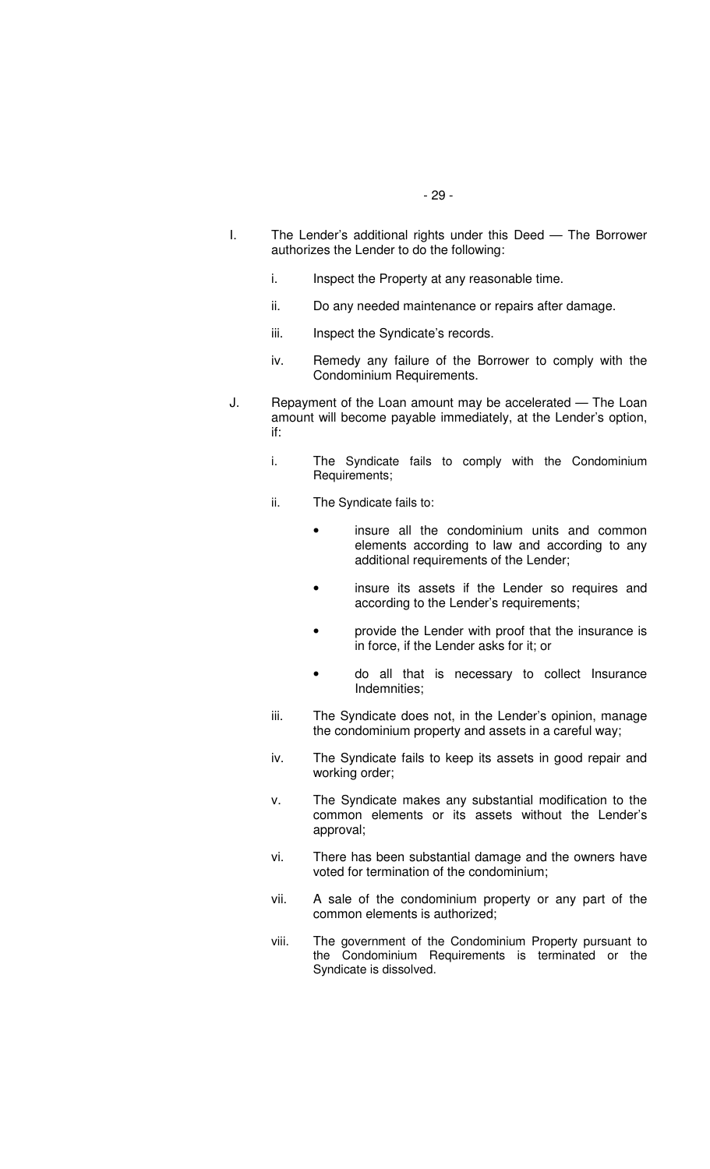- I. The Lender's additional rights under this Deed The Borrower authorizes the Lender to do the following:
	- i. Inspect the Property at any reasonable time.
	- ii. Do any needed maintenance or repairs after damage.
	- iii. Inspect the Syndicate's records.
	- iv. Remedy any failure of the Borrower to comply with the Condominium Requirements.
- J. Repayment of the Loan amount may be accelerated The Loan amount will become payable immediately, at the Lender's option, if:
	- i. The Syndicate fails to comply with the Condominium Requirements;
	- ii. The Syndicate fails to:
		- insure all the condominium units and common elements according to law and according to any additional requirements of the Lender;
		- insure its assets if the Lender so requires and according to the Lender's requirements;
		- provide the Lender with proof that the insurance is in force, if the Lender asks for it; or
		- do all that is necessary to collect Insurance Indemnities;
	- iii. The Syndicate does not, in the Lender's opinion, manage the condominium property and assets in a careful way;
	- iv. The Syndicate fails to keep its assets in good repair and working order;
	- v. The Syndicate makes any substantial modification to the common elements or its assets without the Lender's approval;
	- vi. There has been substantial damage and the owners have voted for termination of the condominium;
	- vii. A sale of the condominium property or any part of the common elements is authorized;
	- viii. The government of the Condominium Property pursuant to the Condominium Requirements is terminated or the Syndicate is dissolved.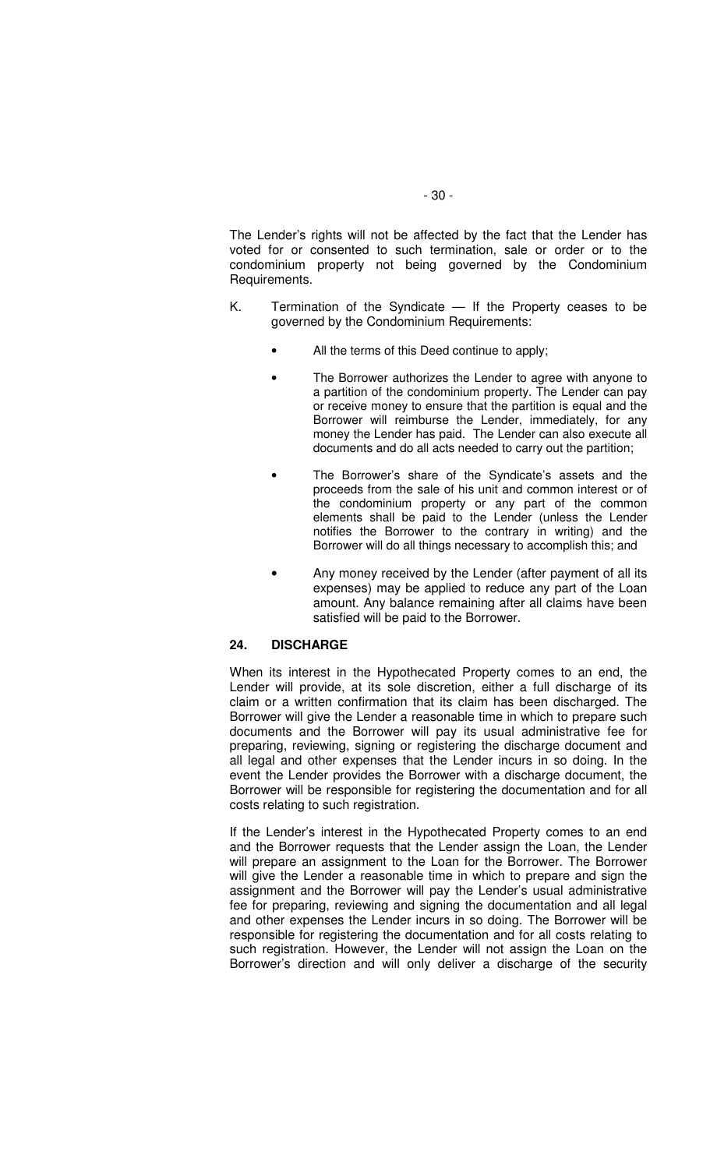The Lender's rights will not be affected by the fact that the Lender has voted for or consented to such termination, sale or order or to the condominium property not being governed by the Condominium Requirements.

- K. Termination of the Syndicate If the Property ceases to be governed by the Condominium Requirements:
	- All the terms of this Deed continue to apply;
	- The Borrower authorizes the Lender to agree with anyone to a partition of the condominium property. The Lender can pay or receive money to ensure that the partition is equal and the Borrower will reimburse the Lender, immediately, for any money the Lender has paid. The Lender can also execute all documents and do all acts needed to carry out the partition;
	- The Borrower's share of the Syndicate's assets and the proceeds from the sale of his unit and common interest or of the condominium property or any part of the common elements shall be paid to the Lender (unless the Lender notifies the Borrower to the contrary in writing) and the Borrower will do all things necessary to accomplish this; and
	- Any money received by the Lender (after payment of all its expenses) may be applied to reduce any part of the Loan amount. Any balance remaining after all claims have been satisfied will be paid to the Borrower.

# **24. DISCHARGE**

When its interest in the Hypothecated Property comes to an end, the Lender will provide, at its sole discretion, either a full discharge of its claim or a written confirmation that its claim has been discharged. The Borrower will give the Lender a reasonable time in which to prepare such documents and the Borrower will pay its usual administrative fee for preparing, reviewing, signing or registering the discharge document and all legal and other expenses that the Lender incurs in so doing. In the event the Lender provides the Borrower with a discharge document, the Borrower will be responsible for registering the documentation and for all costs relating to such registration.

If the Lender's interest in the Hypothecated Property comes to an end and the Borrower requests that the Lender assign the Loan, the Lender will prepare an assignment to the Loan for the Borrower. The Borrower will give the Lender a reasonable time in which to prepare and sign the assignment and the Borrower will pay the Lender's usual administrative fee for preparing, reviewing and signing the documentation and all legal and other expenses the Lender incurs in so doing. The Borrower will be responsible for registering the documentation and for all costs relating to such registration. However, the Lender will not assign the Loan on the Borrower's direction and will only deliver a discharge of the security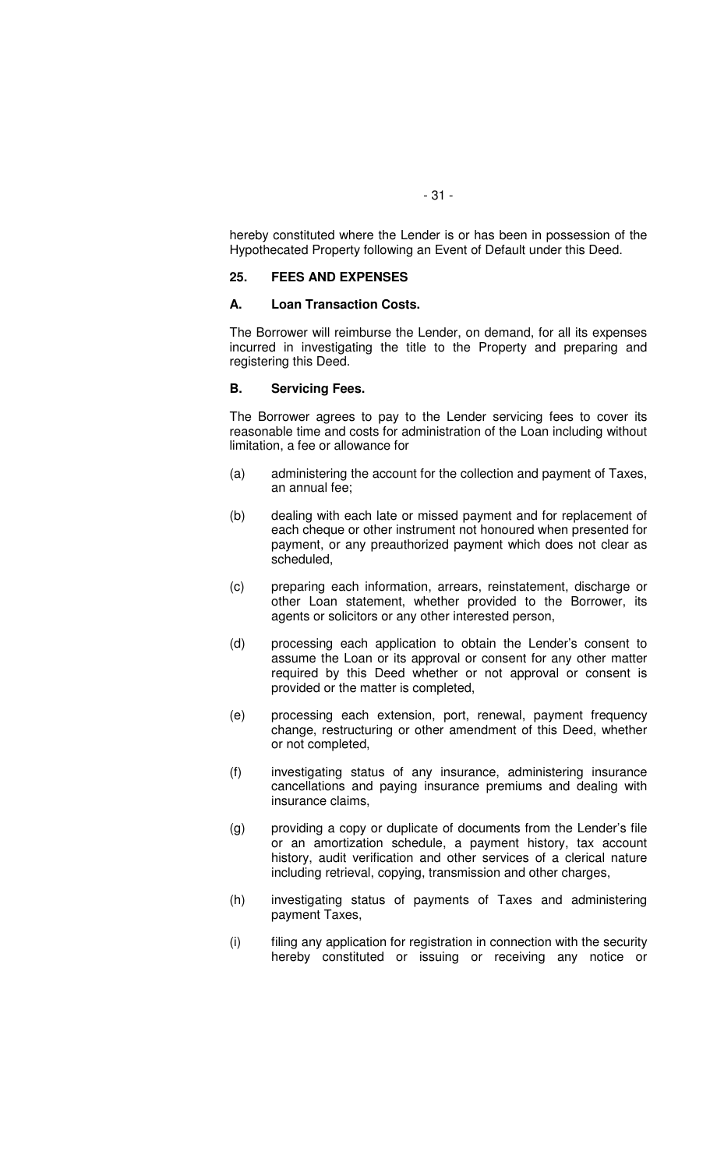hereby constituted where the Lender is or has been in possession of the Hypothecated Property following an Event of Default under this Deed.

#### **25. FEES AND EXPENSES**

#### **A. Loan Transaction Costs.**

The Borrower will reimburse the Lender, on demand, for all its expenses incurred in investigating the title to the Property and preparing and registering this Deed.

#### **B. Servicing Fees.**

The Borrower agrees to pay to the Lender servicing fees to cover its reasonable time and costs for administration of the Loan including without limitation, a fee or allowance for

- (a) administering the account for the collection and payment of Taxes, an annual fee;
- (b) dealing with each late or missed payment and for replacement of each cheque or other instrument not honoured when presented for payment, or any preauthorized payment which does not clear as scheduled,
- (c) preparing each information, arrears, reinstatement, discharge or other Loan statement, whether provided to the Borrower, its agents or solicitors or any other interested person,
- (d) processing each application to obtain the Lender's consent to assume the Loan or its approval or consent for any other matter required by this Deed whether or not approval or consent is provided or the matter is completed,
- (e) processing each extension, port, renewal, payment frequency change, restructuring or other amendment of this Deed, whether or not completed,
- (f) investigating status of any insurance, administering insurance cancellations and paying insurance premiums and dealing with insurance claims,
- (g) providing a copy or duplicate of documents from the Lender's file or an amortization schedule, a payment history, tax account history, audit verification and other services of a clerical nature including retrieval, copying, transmission and other charges,
- (h) investigating status of payments of Taxes and administering payment Taxes,
- (i) filing any application for registration in connection with the security hereby constituted or issuing or receiving any notice or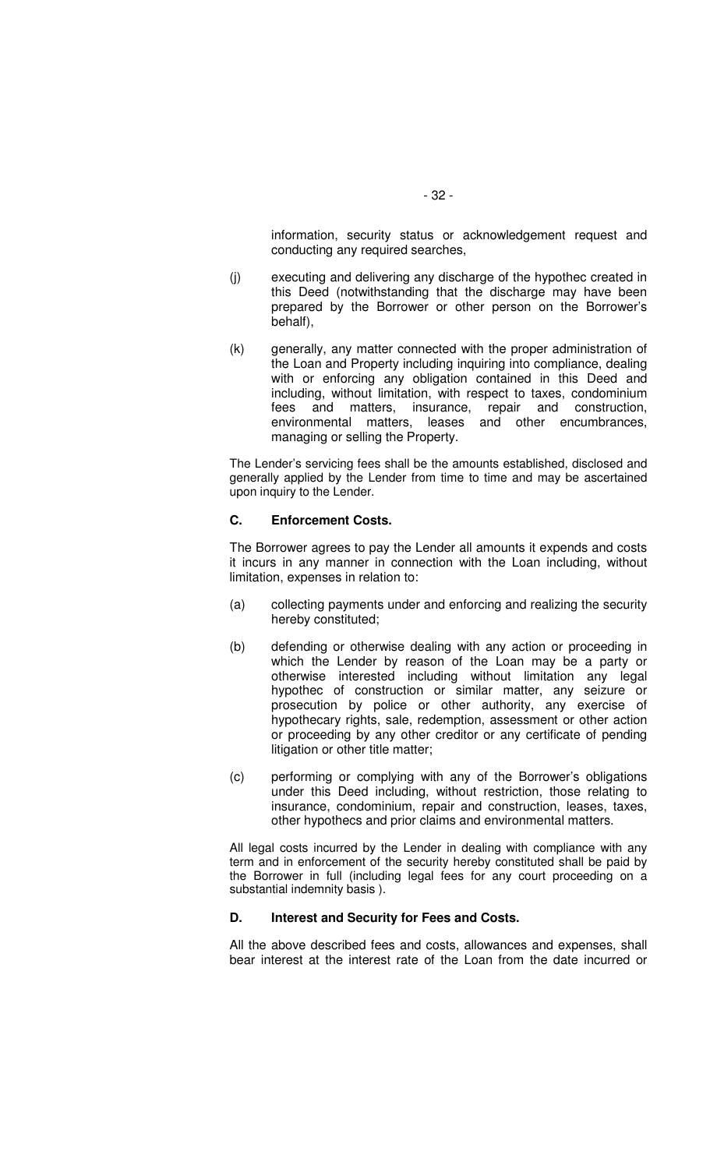information, security status or acknowledgement request and conducting any required searches,

- (j) executing and delivering any discharge of the hypothec created in this Deed (notwithstanding that the discharge may have been prepared by the Borrower or other person on the Borrower's behalf),
- (k) generally, any matter connected with the proper administration of the Loan and Property including inquiring into compliance, dealing with or enforcing any obligation contained in this Deed and including, without limitation, with respect to taxes, condominium fees and matters, insurance, repair and construction, environmental matters, leases and other encumbrances, managing or selling the Property.

The Lender's servicing fees shall be the amounts established, disclosed and generally applied by the Lender from time to time and may be ascertained upon inquiry to the Lender.

#### **C. Enforcement Costs.**

The Borrower agrees to pay the Lender all amounts it expends and costs it incurs in any manner in connection with the Loan including, without limitation, expenses in relation to:

- (a) collecting payments under and enforcing and realizing the security hereby constituted;
- (b) defending or otherwise dealing with any action or proceeding in which the Lender by reason of the Loan may be a party or otherwise interested including without limitation any legal hypothec of construction or similar matter, any seizure or prosecution by police or other authority, any exercise of hypothecary rights, sale, redemption, assessment or other action or proceeding by any other creditor or any certificate of pending litigation or other title matter;
- (c) performing or complying with any of the Borrower's obligations under this Deed including, without restriction, those relating to insurance, condominium, repair and construction, leases, taxes, other hypothecs and prior claims and environmental matters.

All legal costs incurred by the Lender in dealing with compliance with any term and in enforcement of the security hereby constituted shall be paid by the Borrower in full (including legal fees for any court proceeding on a substantial indemnity basis ).

# **D. Interest and Security for Fees and Costs.**

All the above described fees and costs, allowances and expenses, shall bear interest at the interest rate of the Loan from the date incurred or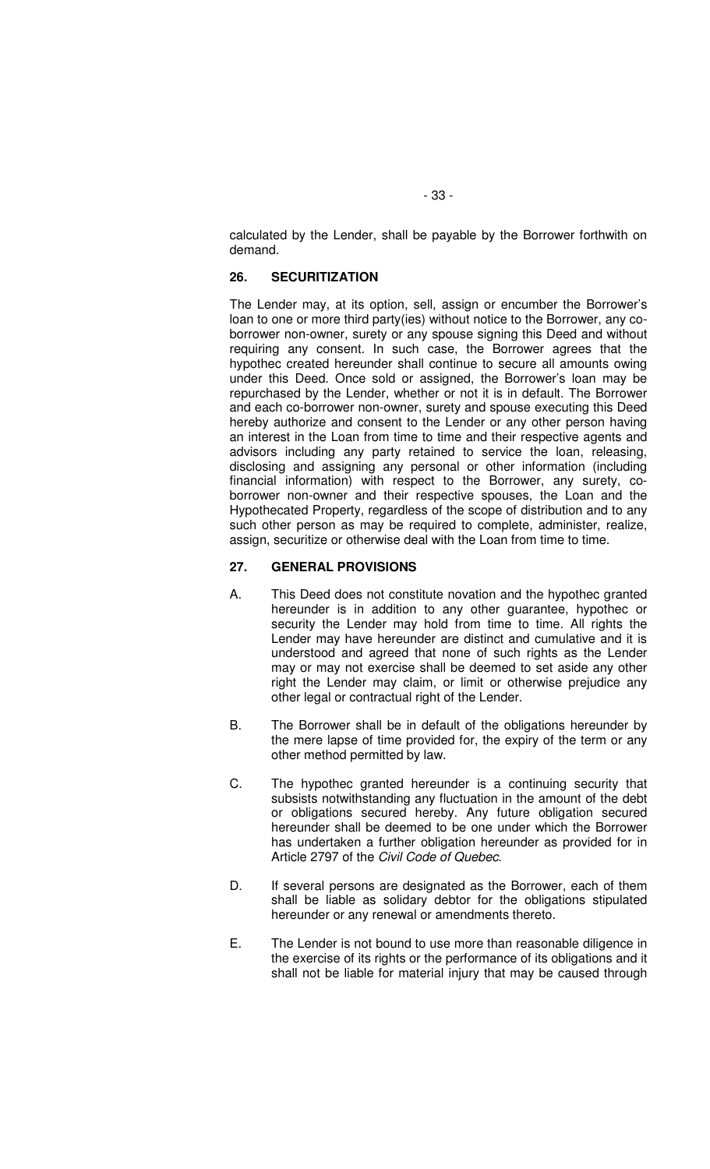calculated by the Lender, shall be payable by the Borrower forthwith on demand.

### **26. SECURITIZATION**

The Lender may, at its option, sell, assign or encumber the Borrower's loan to one or more third party(ies) without notice to the Borrower, any coborrower non-owner, surety or any spouse signing this Deed and without requiring any consent. In such case, the Borrower agrees that the hypothec created hereunder shall continue to secure all amounts owing under this Deed. Once sold or assigned, the Borrower's loan may be repurchased by the Lender, whether or not it is in default. The Borrower and each co-borrower non-owner, surety and spouse executing this Deed hereby authorize and consent to the Lender or any other person having an interest in the Loan from time to time and their respective agents and advisors including any party retained to service the loan, releasing, disclosing and assigning any personal or other information (including financial information) with respect to the Borrower, any surety, coborrower non-owner and their respective spouses, the Loan and the Hypothecated Property, regardless of the scope of distribution and to any such other person as may be required to complete, administer, realize, assign, securitize or otherwise deal with the Loan from time to time.

# **27. GENERAL PROVISIONS**

- A. This Deed does not constitute novation and the hypothec granted hereunder is in addition to any other guarantee, hypothec or security the Lender may hold from time to time. All rights the Lender may have hereunder are distinct and cumulative and it is understood and agreed that none of such rights as the Lender may or may not exercise shall be deemed to set aside any other right the Lender may claim, or limit or otherwise prejudice any other legal or contractual right of the Lender.
- B. The Borrower shall be in default of the obligations hereunder by the mere lapse of time provided for, the expiry of the term or any other method permitted by law.
- C. The hypothec granted hereunder is a continuing security that subsists notwithstanding any fluctuation in the amount of the debt or obligations secured hereby. Any future obligation secured hereunder shall be deemed to be one under which the Borrower has undertaken a further obligation hereunder as provided for in Article 2797 of the Civil Code of Quebec.
- D. If several persons are designated as the Borrower, each of them shall be liable as solidary debtor for the obligations stipulated hereunder or any renewal or amendments thereto.
- E. The Lender is not bound to use more than reasonable diligence in the exercise of its rights or the performance of its obligations and it shall not be liable for material injury that may be caused through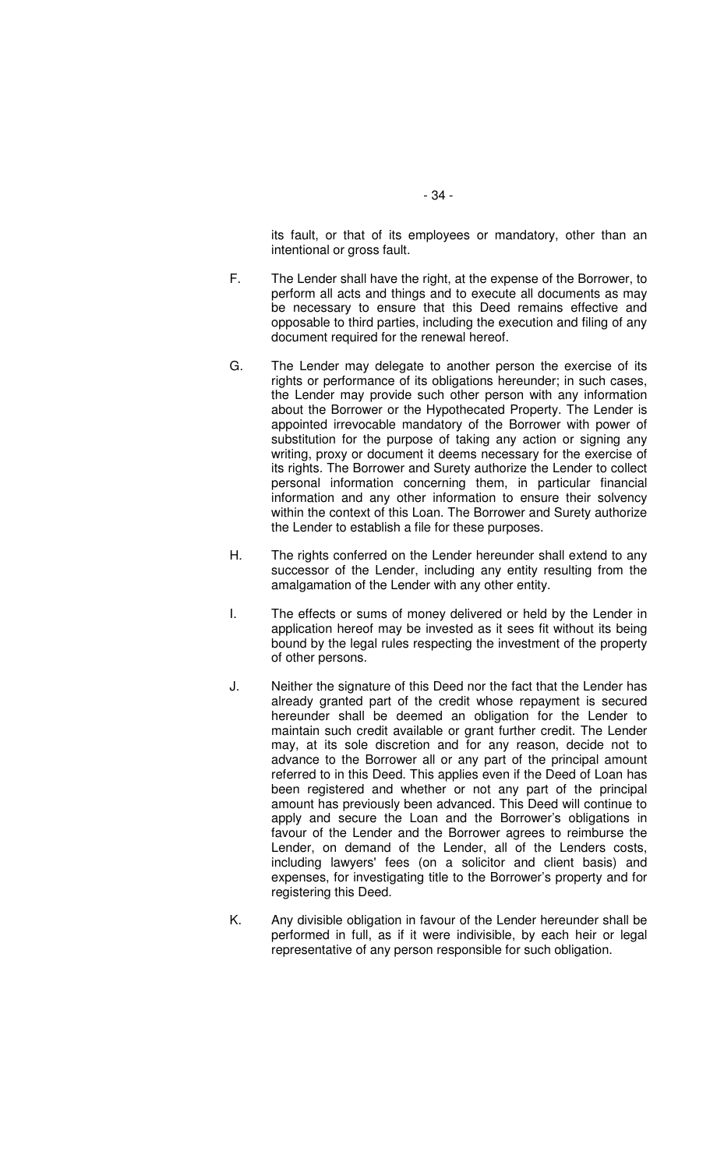its fault, or that of its employees or mandatory, other than an intentional or gross fault.

- F. The Lender shall have the right, at the expense of the Borrower, to perform all acts and things and to execute all documents as may be necessary to ensure that this Deed remains effective and opposable to third parties, including the execution and filing of any document required for the renewal hereof.
- G. The Lender may delegate to another person the exercise of its rights or performance of its obligations hereunder; in such cases, the Lender may provide such other person with any information about the Borrower or the Hypothecated Property. The Lender is appointed irrevocable mandatory of the Borrower with power of substitution for the purpose of taking any action or signing any writing, proxy or document it deems necessary for the exercise of its rights. The Borrower and Surety authorize the Lender to collect personal information concerning them, in particular financial information and any other information to ensure their solvency within the context of this Loan. The Borrower and Surety authorize the Lender to establish a file for these purposes.
- H. The rights conferred on the Lender hereunder shall extend to any successor of the Lender, including any entity resulting from the amalgamation of the Lender with any other entity.
- I. The effects or sums of money delivered or held by the Lender in application hereof may be invested as it sees fit without its being bound by the legal rules respecting the investment of the property of other persons.
- J. Neither the signature of this Deed nor the fact that the Lender has already granted part of the credit whose repayment is secured hereunder shall be deemed an obligation for the Lender to maintain such credit available or grant further credit. The Lender may, at its sole discretion and for any reason, decide not to advance to the Borrower all or any part of the principal amount referred to in this Deed. This applies even if the Deed of Loan has been registered and whether or not any part of the principal amount has previously been advanced. This Deed will continue to apply and secure the Loan and the Borrower's obligations in favour of the Lender and the Borrower agrees to reimburse the Lender, on demand of the Lender, all of the Lenders costs, including lawyers' fees (on a solicitor and client basis) and expenses, for investigating title to the Borrower's property and for registering this Deed.
- K. Any divisible obligation in favour of the Lender hereunder shall be performed in full, as if it were indivisible, by each heir or legal representative of any person responsible for such obligation.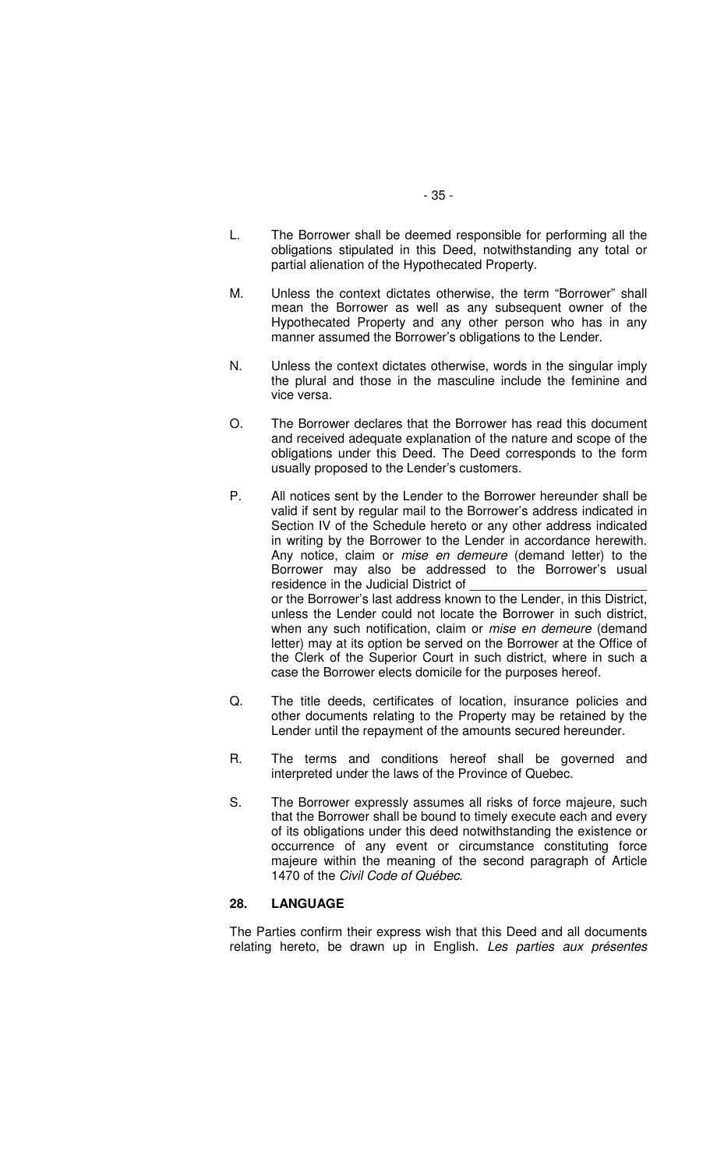- L. The Borrower shall be deemed responsible for performing all the obligations stipulated in this Deed, notwithstanding any total or partial alienation of the Hypothecated Property.
- M. Unless the context dictates otherwise, the term "Borrower" shall mean the Borrower as well as any subsequent owner of the Hypothecated Property and any other person who has in any manner assumed the Borrower's obligations to the Lender.
- N. Unless the context dictates otherwise, words in the singular imply the plural and those in the masculine include the feminine and vice versa.
- O. The Borrower declares that the Borrower has read this document and received adequate explanation of the nature and scope of the obligations under this Deed. The Deed corresponds to the form usually proposed to the Lender's customers.
- P. All notices sent by the Lender to the Borrower hereunder shall be valid if sent by regular mail to the Borrower's address indicated in Section IV of the Schedule hereto or any other address indicated in writing by the Borrower to the Lender in accordance herewith. Any notice, claim or mise en demeure (demand letter) to the Borrower may also be addressed to the Borrower's usual residence in the Judicial District of or the Borrower's last address known to the Lender, in this District, unless the Lender could not locate the Borrower in such district, when any such notification, claim or mise en demeure (demand letter) may at its option be served on the Borrower at the Office of the Clerk of the Superior Court in such district, where in such a case the Borrower elects domicile for the purposes hereof.
- Q. The title deeds, certificates of location, insurance policies and other documents relating to the Property may be retained by the Lender until the repayment of the amounts secured hereunder.
- R. The terms and conditions hereof shall be governed and interpreted under the laws of the Province of Quebec.
- S. The Borrower expressly assumes all risks of force majeure, such that the Borrower shall be bound to timely execute each and every of its obligations under this deed notwithstanding the existence or occurrence of any event or circumstance constituting force majeure within the meaning of the second paragraph of Article 1470 of the Civil Code of Québec.

# **28. LANGUAGE**

The Parties confirm their express wish that this Deed and all documents relating hereto, be drawn up in English. Les parties aux présentes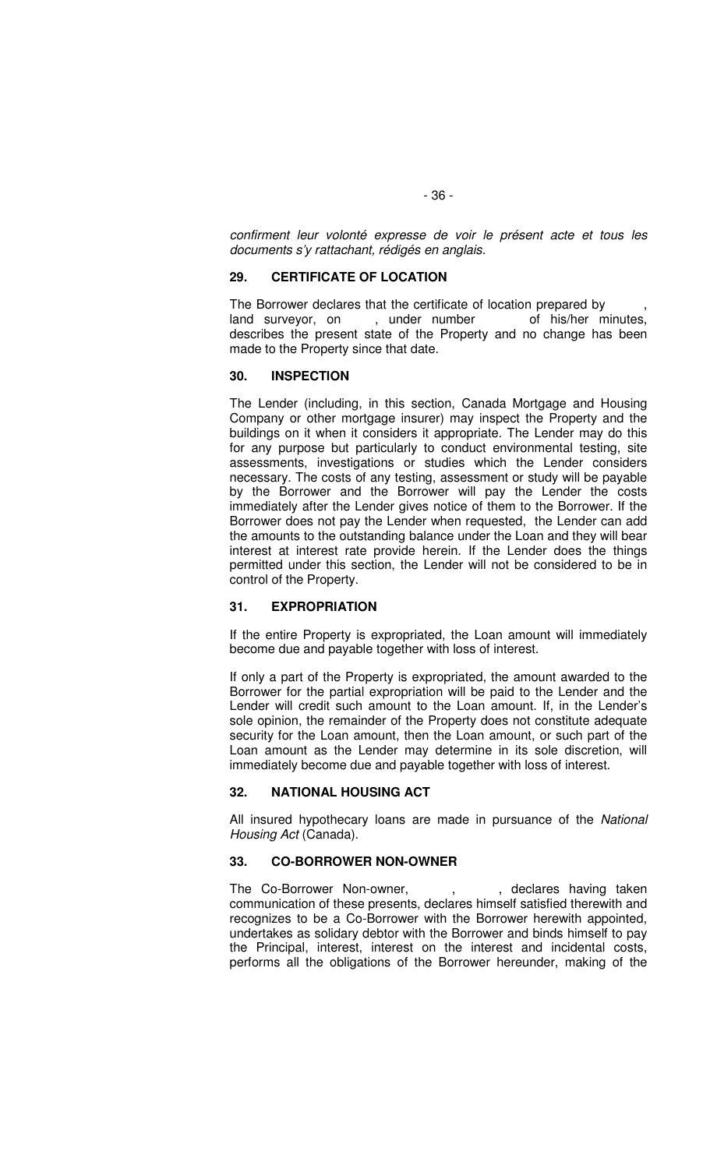confirment leur volonté expresse de voir le présent acte et tous les documents s'y rattachant, rédigés en anglais.

### **29. CERTIFICATE OF LOCATION**

The Borrower declares that the certificate of location prepared by , land surveyor, on , under number of his/her minutes, describes the present state of the Property and no change has been made to the Property since that date.

#### **30. INSPECTION**

The Lender (including, in this section, Canada Mortgage and Housing Company or other mortgage insurer) may inspect the Property and the buildings on it when it considers it appropriate. The Lender may do this for any purpose but particularly to conduct environmental testing, site assessments, investigations or studies which the Lender considers necessary. The costs of any testing, assessment or study will be payable by the Borrower and the Borrower will pay the Lender the costs immediately after the Lender gives notice of them to the Borrower. If the Borrower does not pay the Lender when requested, the Lender can add the amounts to the outstanding balance under the Loan and they will bear interest at interest rate provide herein. If the Lender does the things permitted under this section, the Lender will not be considered to be in control of the Property.

#### **31. EXPROPRIATION**

If the entire Property is expropriated, the Loan amount will immediately become due and payable together with loss of interest.

If only a part of the Property is expropriated, the amount awarded to the Borrower for the partial expropriation will be paid to the Lender and the Lender will credit such amount to the Loan amount. If, in the Lender's sole opinion, the remainder of the Property does not constitute adequate security for the Loan amount, then the Loan amount, or such part of the Loan amount as the Lender may determine in its sole discretion, will immediately become due and payable together with loss of interest.

#### **32. NATIONAL HOUSING ACT**

All insured hypothecary loans are made in pursuance of the National Housing Act (Canada).

### **33. CO-BORROWER NON-OWNER**

The Co-Borrower Non-owner, , , , declares having taken communication of these presents, declares himself satisfied therewith and recognizes to be a Co-Borrower with the Borrower herewith appointed, undertakes as solidary debtor with the Borrower and binds himself to pay the Principal, interest, interest on the interest and incidental costs, performs all the obligations of the Borrower hereunder, making of the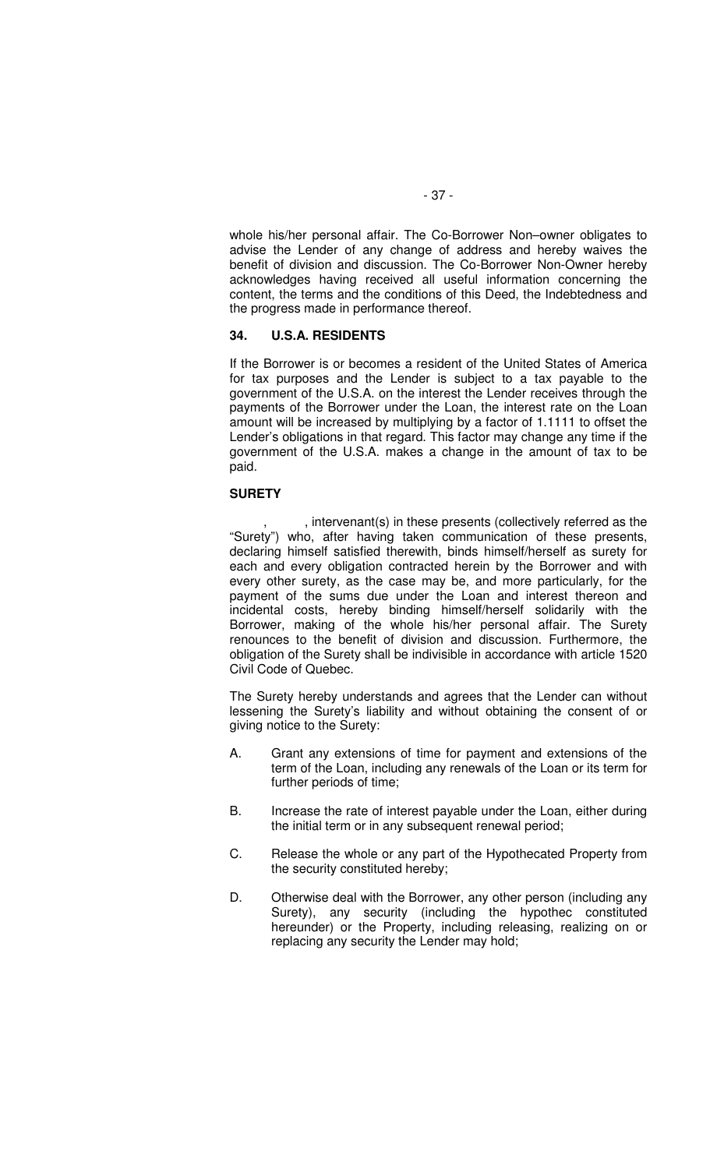whole his/her personal affair. The Co-Borrower Non–owner obligates to advise the Lender of any change of address and hereby waives the benefit of division and discussion. The Co-Borrower Non-Owner hereby acknowledges having received all useful information concerning the content, the terms and the conditions of this Deed, the Indebtedness and the progress made in performance thereof.

#### **34. U.S.A. RESIDENTS**

If the Borrower is or becomes a resident of the United States of America for tax purposes and the Lender is subject to a tax payable to the government of the U.S.A. on the interest the Lender receives through the payments of the Borrower under the Loan, the interest rate on the Loan amount will be increased by multiplying by a factor of 1.1111 to offset the Lender's obligations in that regard. This factor may change any time if the government of the U.S.A. makes a change in the amount of tax to be paid.

#### **SURETY**

, intervenant(s) in these presents (collectively referred as the "Surety") who, after having taken communication of these presents, declaring himself satisfied therewith, binds himself/herself as surety for each and every obligation contracted herein by the Borrower and with every other surety, as the case may be, and more particularly, for the payment of the sums due under the Loan and interest thereon and incidental costs, hereby binding himself/herself solidarily with the Borrower, making of the whole his/her personal affair. The Surety renounces to the benefit of division and discussion. Furthermore, the obligation of the Surety shall be indivisible in accordance with article 1520 Civil Code of Quebec.

The Surety hereby understands and agrees that the Lender can without lessening the Surety's liability and without obtaining the consent of or giving notice to the Surety:

- A. Grant any extensions of time for payment and extensions of the term of the Loan, including any renewals of the Loan or its term for further periods of time;
- B. Increase the rate of interest payable under the Loan, either during the initial term or in any subsequent renewal period;
- C. Release the whole or any part of the Hypothecated Property from the security constituted hereby;
- D. Otherwise deal with the Borrower, any other person (including any Surety), any security (including the hypothec constituted hereunder) or the Property, including releasing, realizing on or replacing any security the Lender may hold;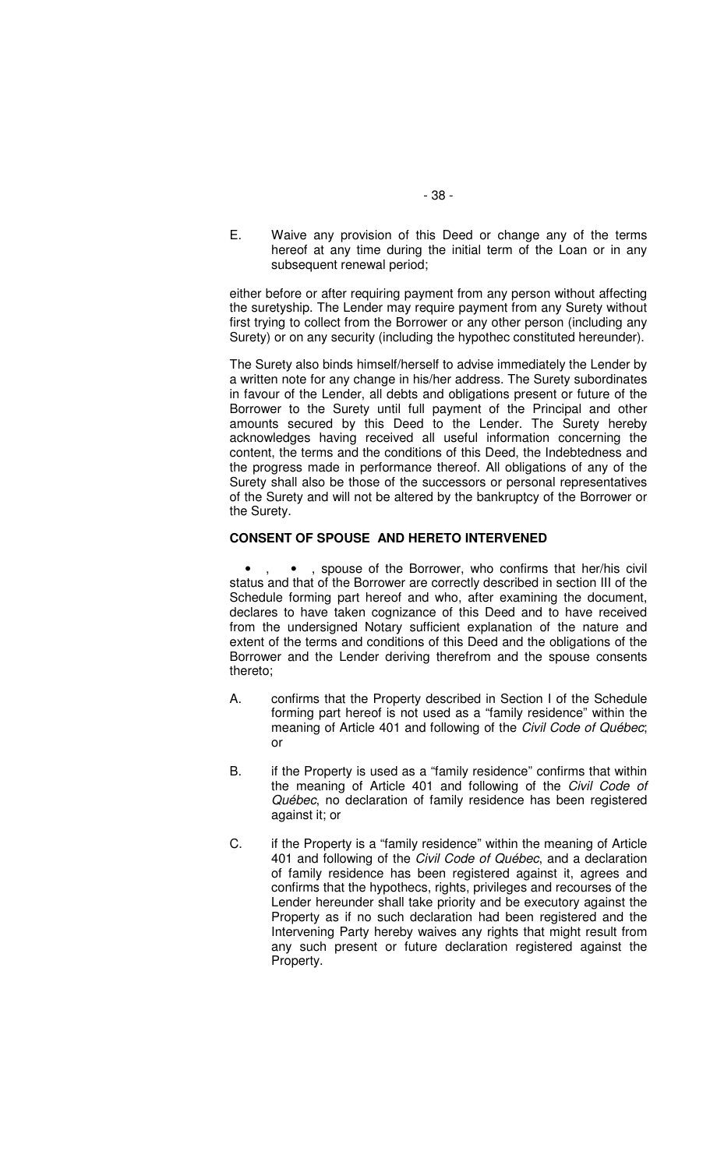E. Waive any provision of this Deed or change any of the terms hereof at any time during the initial term of the Loan or in any subsequent renewal period;

either before or after requiring payment from any person without affecting the suretyship. The Lender may require payment from any Surety without first trying to collect from the Borrower or any other person (including any Surety) or on any security (including the hypothec constituted hereunder).

The Surety also binds himself/herself to advise immediately the Lender by a written note for any change in his/her address. The Surety subordinates in favour of the Lender, all debts and obligations present or future of the Borrower to the Surety until full payment of the Principal and other amounts secured by this Deed to the Lender. The Surety hereby acknowledges having received all useful information concerning the content, the terms and the conditions of this Deed, the Indebtedness and the progress made in performance thereof. All obligations of any of the Surety shall also be those of the successors or personal representatives of the Surety and will not be altered by the bankruptcy of the Borrower or the Surety.

#### **CONSENT OF SPOUSE AND HERETO INTERVENED**

, spouse of the Borrower, who confirms that her/his civil status and that of the Borrower are correctly described in section III of the Schedule forming part hereof and who, after examining the document, declares to have taken cognizance of this Deed and to have received from the undersigned Notary sufficient explanation of the nature and extent of the terms and conditions of this Deed and the obligations of the Borrower and the Lender deriving therefrom and the spouse consents thereto;

- A. confirms that the Property described in Section I of the Schedule forming part hereof is not used as a "family residence" within the meaning of Article 401 and following of the Civil Code of Québec; or
- B. if the Property is used as a "family residence" confirms that within the meaning of Article 401 and following of the Civil Code of Québec, no declaration of family residence has been registered against it; or
- C. if the Property is a "family residence" within the meaning of Article 401 and following of the Civil Code of Québec, and a declaration of family residence has been registered against it, agrees and confirms that the hypothecs, rights, privileges and recourses of the Lender hereunder shall take priority and be executory against the Property as if no such declaration had been registered and the Intervening Party hereby waives any rights that might result from any such present or future declaration registered against the Property.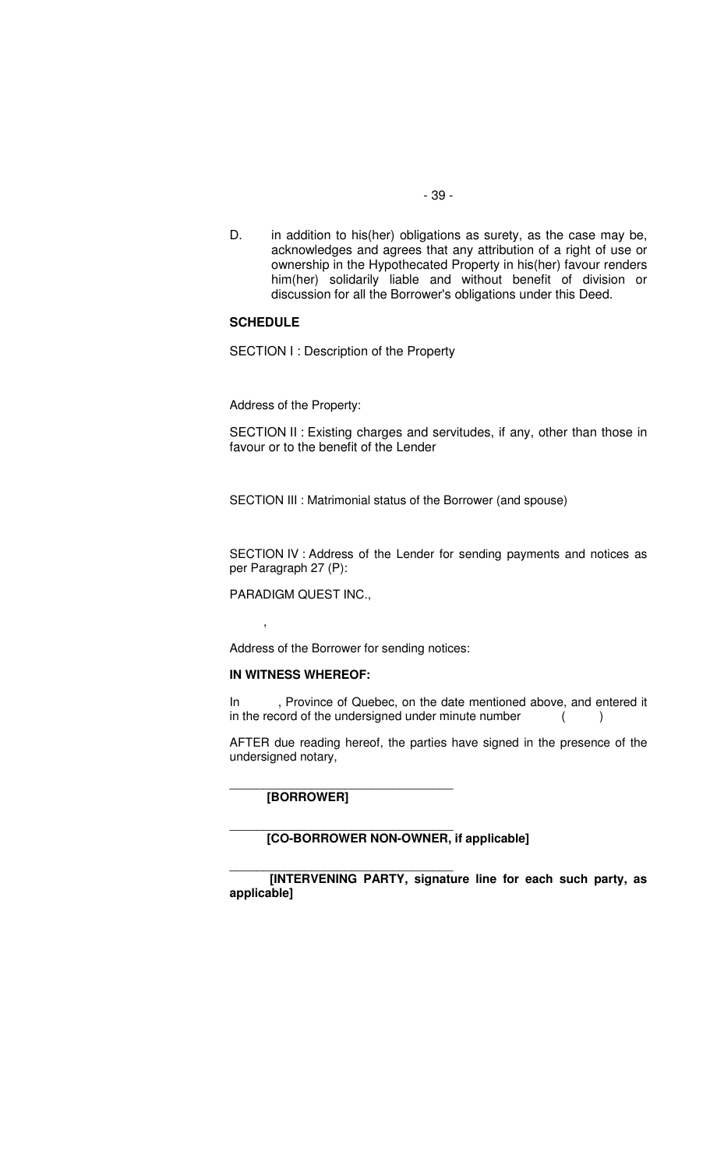- 39 -
- D. in addition to his(her) obligations as surety, as the case may be, acknowledges and agrees that any attribution of a right of use or ownership in the Hypothecated Property in his(her) favour renders him(her) solidarily liable and without benefit of division or discussion for all the Borrower's obligations under this Deed.

#### **SCHEDULE**

SECTION I : Description of the Property

Address of the Property:

SECTION II : Existing charges and servitudes, if any, other than those in favour or to the benefit of the Lender

SECTION III : Matrimonial status of the Borrower (and spouse)

SECTION IV : Address of the Lender for sending payments and notices as per Paragraph 27 (P):

PARADIGM QUEST INC.,

 $\overline{\phantom{a}}$ 

Address of the Borrower for sending notices:

\_\_\_\_\_\_\_\_\_\_\_\_\_\_\_\_\_\_\_\_\_\_\_\_\_\_\_\_\_\_\_\_\_

\_\_\_\_\_\_\_\_\_\_\_\_\_\_\_\_\_\_\_\_\_\_\_\_\_\_\_\_\_\_\_\_\_

#### **IN WITNESS WHEREOF:**

In Frovince of Quebec, on the date mentioned above, and entered it in the record of the undersigned under minute number ()

AFTER due reading hereof, the parties have signed in the presence of the undersigned notary,

**[BORROWER]**

**[CO-BORROWER NON-OWNER, if applicable]**

\_\_\_\_\_\_\_\_\_\_\_\_\_\_\_\_\_\_\_\_\_\_\_\_\_\_\_\_\_\_\_\_\_ **[INTERVENING PARTY, signature line for each such party, as applicable]**